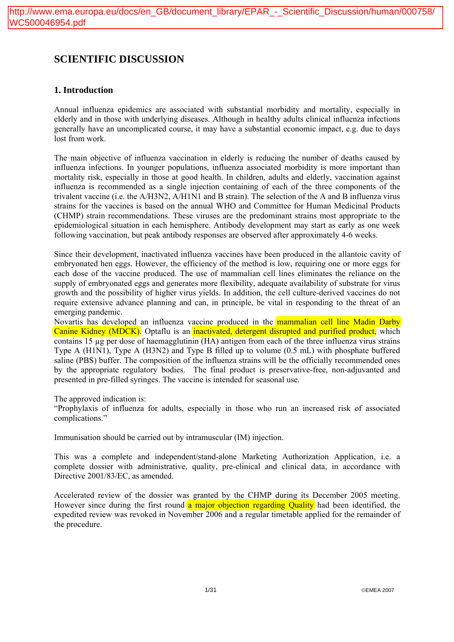# **SCIENTIFIC DISCUSSION**

## **1. Introduction**

Annual influenza epidemics are associated with substantial morbidity and mortality, especially in elderly and in those with underlying diseases. Although in healthy adults clinical influenza infections generally have an uncomplicated course, it may have a substantial economic impact, e.g. due to days lost from work.

The main objective of influenza vaccination in elderly is reducing the number of deaths caused by influenza infections. In younger populations, influenza associated morbidity is more important than mortality risk, especially in those at good health. In children, adults and elderly, vaccination against influenza is recommended as a single injection containing of each of the three components of the trivalent vaccine (i.e. the A/H3N2, A/H1N1 and B strain). The selection of the A and B influenza virus strains for the vaccines is based on the annual WHO and Committee for Human Medicinal Products (CHMP) strain recommendations. These viruses are the predominant strains most appropriate to the epidemiological situation in each hemisphere. Antibody development may start as early as one week following vaccination, but peak antibody responses are observed after approximately 4-6 weeks.

Since their development, inactivated influenza vaccines have been produced in the allantoic cavity of embryonated hen eggs. However, the efficiency of the method is low, requiring one or more eggs for each dose of the vaccine produced. The use of mammalian cell lines eliminates the reliance on the supply of embryonated eggs and generates more flexibility, adequate availability of substrate for virus growth and the possibility of higher virus yields. In addition, the cell culture-derived vaccines do not require extensive advance planning and can, in principle, be vital in responding to the threat of an emerging pandemic.

Novartis has developed an influenza vaccine produced in the mammalian cell line Madin Darby Canine Kidney (MDCK). Optaflu is an inactivated, detergent disrupted and purified product, which contains 15 µg per dose of haemagglutinin (HA) antigen from each of the three influenza virus strains Type A (H1N1), Type A (H3N2) and Type B filled up to volume (0.5 mL) with phosphate buffered saline (PBS) buffer. The composition of the influenza strains will be the officially recommended ones by the appropriate regulatory bodies. The final product is preservative-free, non-adjuvanted and presented in pre-filled syringes. The vaccine is intended for seasonal use.

## The approved indication is:

"Prophylaxis of influenza for adults, especially in those who run an increased risk of associated complications."

Immunisation should be carried out by intramuscular (IM) injection.

This was a complete and independent/stand-alone Marketing Authorization Application, i.e. a complete dossier with administrative, quality, pre-clinical and clinical data, in accordance with Directive 2001/83/EC, as amended.

Accelerated review of the dossier was granted by the CHMP during its December 2005 meeting. However since during the first round a major objection regarding Quality had been identified, the expedited review was revoked in November 2006 and a regular timetable applied for the remainder of the procedure.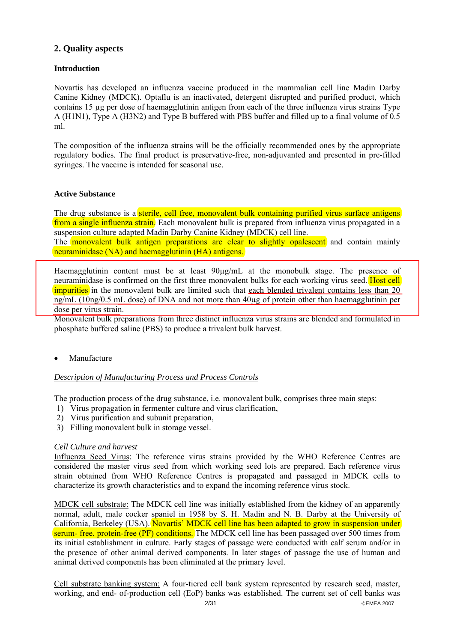## **2. Quality aspects**

## **Introduction**

Novartis has developed an influenza vaccine produced in the mammalian cell line Madin Darby Canine Kidney (MDCK). Optaflu is an inactivated, detergent disrupted and purified product, which contains 15 µg per dose of haemagglutinin antigen from each of the three influenza virus strains Type A (H1N1), Type A (H3N2) and Type B buffered with PBS buffer and filled up to a final volume of 0.5 ml.

The composition of the influenza strains will be the officially recommended ones by the appropriate regulatory bodies. The final product is preservative-free, non-adjuvanted and presented in pre-filled syringes. The vaccine is intended for seasonal use.

## **Active Substance**

The drug substance is a sterile, cell free, monovalent bulk containing purified virus surface antigens from a single influenza strain. Each monovalent bulk is prepared from influenza virus propagated in a suspension culture adapted Madin Darby Canine Kidney (MDCK) cell line.

The **monovalent bulk antigen preparations are clear to slightly opalescent** and contain mainly neuraminidase (NA) and haemagglutinin (HA) antigens.

Haemagglutinin content must be at least  $90\mu g/mL$  at the monobulk stage. The presence of neuraminidase is confirmed on the first three monovalent bulks for each working virus seed. Host cell impurities in the monovalent bulk are limited such that each blended trivalent contains less than 20 ng/mL (10ng/0.5 mL dose) of DNA and not more than 40µg of protein other than haemagglutinin per dose per virus strain.

Monovalent bulk preparations from three distinct influenza virus strains are blended and formulated in phosphate buffered saline (PBS) to produce a trivalent bulk harvest.

**Manufacture** 

## *Description of Manufacturing Process and Process Controls*

The production process of the drug substance, i.e. monovalent bulk, comprises three main steps:

- 1) Virus propagation in fermenter culture and virus clarification,
- 2) Virus purification and subunit preparation,
- 3) Filling monovalent bulk in storage vessel.

## *Cell Culture and harvest*

Influenza Seed Virus: The reference virus strains provided by the WHO Reference Centres are considered the master virus seed from which working seed lots are prepared. Each reference virus strain obtained from WHO Reference Centres is propagated and passaged in MDCK cells to characterize its growth characteristics and to expand the incoming reference virus stock.

MDCK cell substrate: The MDCK cell line was initially established from the kidney of an apparently normal, adult, male cocker spaniel in 1958 by S. H. Madin and N. B. Darby at the University of California, Berkeley (USA). Novartis' MDCK cell line has been adapted to grow in suspension under serum- free, protein-free (PF) conditions. The MDCK cell line has been passaged over 500 times from its initial establishment in culture. Early stages of passage were conducted with calf serum and/or in the presence of other animal derived components. In later stages of passage the use of human and animal derived components has been eliminated at the primary level.

Cell substrate banking system: A four-tiered cell bank system represented by research seed, master, working, and end- of-production cell (EoP) banks was established. The current set of cell banks was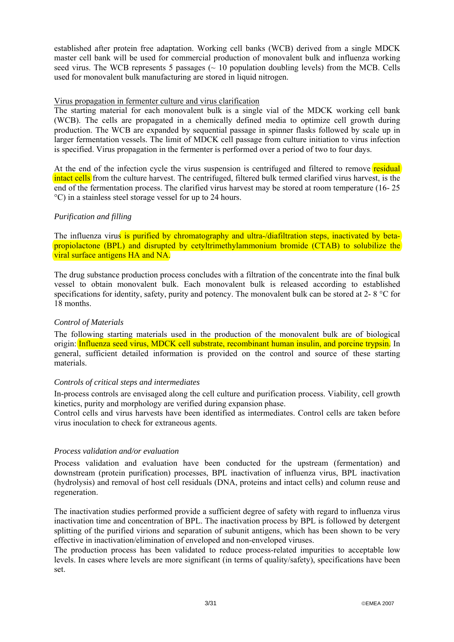established after protein free adaptation. Working cell banks (WCB) derived from a single MDCK master cell bank will be used for commercial production of monovalent bulk and influenza working seed virus. The WCB represents 5 passages  $(\sim 10$  population doubling levels) from the MCB. Cells used for monovalent bulk manufacturing are stored in liquid nitrogen.

## Virus propagation in fermenter culture and virus clarification

The starting material for each monovalent bulk is a single vial of the MDCK working cell bank (WCB). The cells are propagated in a chemically defined media to optimize cell growth during production. The WCB are expanded by sequential passage in spinner flasks followed by scale up in larger fermentation vessels. The limit of MDCK cell passage from culture initiation to virus infection is specified. Virus propagation in the fermenter is performed over a period of two to four days.

At the end of the infection cycle the virus suspension is centrifuged and filtered to remove residual intact cells from the culture harvest. The centrifuged, filtered bulk termed clarified virus harvest, is the end of the fermentation process. The clarified virus harvest may be stored at room temperature (16- 25 °C) in a stainless steel storage vessel for up to 24 hours.

## *Purification and filling*

The influenza virus is purified by chromatography and ultra-/diafiltration steps, inactivated by betapropiolactone (BPL) and disrupted by cetyltrimethylammonium bromide (CTAB) to solubilize the viral surface antigens HA and NA.

The drug substance production process concludes with a filtration of the concentrate into the final bulk vessel to obtain monovalent bulk. Each monovalent bulk is released according to established specifications for identity, safety, purity and potency. The monovalent bulk can be stored at 2-8 °C for 18 months.

## *Control of Materials*

The following starting materials used in the production of the monovalent bulk are of biological origin: Influenza seed virus, MDCK cell substrate, recombinant human insulin, and porcine trypsin. In general, sufficient detailed information is provided on the control and source of these starting materials.

## *Controls of critical steps and intermediates*

In-process controls are envisaged along the cell culture and purification process. Viability, cell growth kinetics, purity and morphology are verified during expansion phase.

Control cells and virus harvests have been identified as intermediates. Control cells are taken before virus inoculation to check for extraneous agents.

## *Process validation and/or evaluation*

Process validation and evaluation have been conducted for the upstream (fermentation) and downstream (protein purification) processes, BPL inactivation of influenza virus, BPL inactivation (hydrolysis) and removal of host cell residuals (DNA, proteins and intact cells) and column reuse and regeneration.

The inactivation studies performed provide a sufficient degree of safety with regard to influenza virus inactivation time and concentration of BPL. The inactivation process by BPL is followed by detergent splitting of the purified virions and separation of subunit antigens, which has been shown to be very effective in inactivation/elimination of enveloped and non-enveloped viruses.

The production process has been validated to reduce process-related impurities to acceptable low levels. In cases where levels are more significant (in terms of quality/safety), specifications have been set.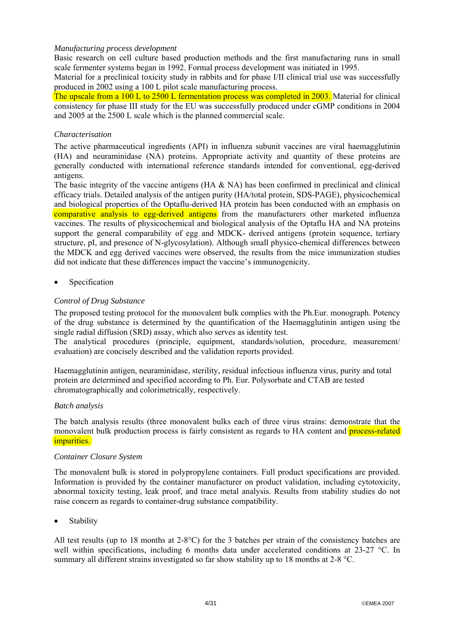## *Manufacturing process development*

Basic research on cell culture based production methods and the first manufacturing runs in small scale fermenter systems began in 1992. Formal process development was initiated in 1995.

Material for a preclinical toxicity study in rabbits and for phase I/II clinical trial use was successfully produced in 2002 using a 100 L pilot scale manufacturing process.

The upscale from a 100 L to 2500 L fermentation process was completed in 2003. Material for clinical consistency for phase III study for the EU was successfully produced under cGMP conditions in 2004 and 2005 at the 2500 L scale which is the planned commercial scale.

## *Characterisation*

The active pharmaceutical ingredients (API) in influenza subunit vaccines are viral haemagglutinin (HA) and neuraminidase (NA) proteins. Appropriate activity and quantity of these proteins are generally conducted with international reference standards intended for conventional, egg-derived antigens.

The basic integrity of the vaccine antigens (HA & NA) has been confirmed in preclinical and clinical efficacy trials. Detailed analysis of the antigen purity (HA/total protein, SDS-PAGE), physicochemical and biological properties of the Optaflu-derived HA protein has been conducted with an emphasis on comparative analysis to egg-derived antigens from the manufacturers other marketed influenza vaccines. The results of physicochemical and biological analysis of the Optaflu HA and NA proteins support the general comparability of egg and MDCK- derived antigens (protein sequence, tertiary structure, pI, and presence of N-glycosylation). Although small physico-chemical differences between the MDCK and egg derived vaccines were observed, the results from the mice immunization studies did not indicate that these differences impact the vaccine's immunogenicity.

• Specification

## *Control of Drug Substance*

The proposed testing protocol for the monovalent bulk complies with the Ph.Eur. monograph. Potency of the drug substance is determined by the quantification of the Haemagglutinin antigen using the single radial diffusion (SRD) assay, which also serves as identity test.

The analytical procedures (principle, equipment, standards/solution, procedure, measurement/ evaluation) are concisely described and the validation reports provided.

Haemagglutinin antigen, neuraminidase, sterility, residual infectious influenza virus, purity and total protein are determined and specified according to Ph. Eur. Polysorbate and CTAB are tested chromatographically and colorimetrically, respectively.

## *Batch analysis*

The batch analysis results (three monovalent bulks each of three virus strains: demonstrate that the monovalent bulk production process is fairly consistent as regards to HA content and **process-related** impurities.

## *Container Closure System*

The monovalent bulk is stored in polypropylene containers. Full product specifications are provided. Information is provided by the container manufacturer on product validation, including cytotoxicity, abnormal toxicity testing, leak proof, and trace metal analysis. Results from stability studies do not raise concern as regards to container-drug substance compatibility.

**Stability** 

All test results (up to 18 months at 2-8°C) for the 3 batches per strain of the consistency batches are well within specifications, including 6 months data under accelerated conditions at 23-27 °C. In summary all different strains investigated so far show stability up to 18 months at 2-8 °C.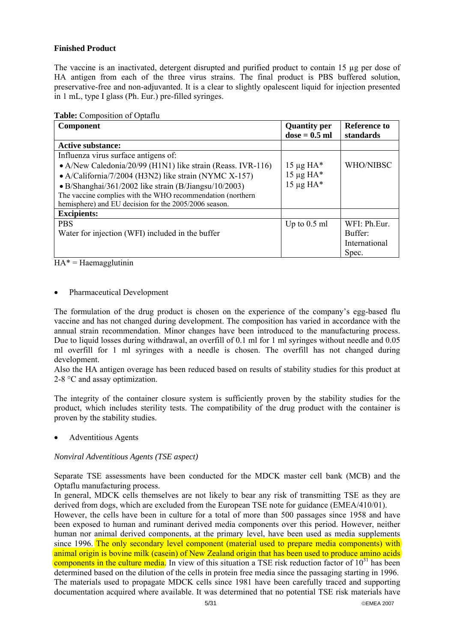## **Finished Product**

The vaccine is an inactivated, detergent disrupted and purified product to contain 15 µg per dose of HA antigen from each of the three virus strains. The final product is PBS buffered solution, preservative-free and non-adjuvanted. It is a clear to slightly opalescent liquid for injection presented in 1 mL, type I glass (Ph. Eur.) pre-filled syringes.

| <b>Table:</b> Composition of Optaflu |
|--------------------------------------|
|--------------------------------------|

| Component                                                   | <b>Quantity per</b><br>$dose = 0.5 ml$ | Reference to<br>standards |
|-------------------------------------------------------------|----------------------------------------|---------------------------|
| <b>Active substance:</b>                                    |                                        |                           |
| Influenza virus surface antigens of:                        |                                        |                           |
| • A/New Caledonia/20/99 (H1N1) like strain (Reass. IVR-116) | $15 \mu g H A^*$                       | <b>WHO/NIBSC</b>          |
| • A/California/7/2004 (H3N2) like strain (NYMC X-157)       | $15 \mu g H A^*$                       |                           |
| • B/Shanghai/361/2002 like strain (B/Jiangsu/10/2003)       | $15 \mu g H A^*$                       |                           |
| The vaccine complies with the WHO recommendation (northern  |                                        |                           |
| hemisphere) and EU decision for the 2005/2006 season.       |                                        |                           |
| <b>Excipients:</b>                                          |                                        |                           |
| <b>PBS</b>                                                  | Up to $0.5$ ml                         | WFI: Ph.Eur.              |
| Water for injection (WFI) included in the buffer            |                                        | Buffer:                   |
|                                                             |                                        | International             |
|                                                             |                                        | Spec.                     |

 $HA^* = Haemagglutinin$ 

## • Pharmaceutical Development

The formulation of the drug product is chosen on the experience of the company's egg-based flu vaccine and has not changed during development. The composition has varied in accordance with the annual strain recommendation. Minor changes have been introduced to the manufacturing process. Due to liquid losses during withdrawal, an overfill of 0.1 ml for 1 ml syringes without needle and 0.05 ml overfill for 1 ml syringes with a needle is chosen. The overfill has not changed during development.

Also the HA antigen overage has been reduced based on results of stability studies for this product at 2-8 °C and assay optimization.

The integrity of the container closure system is sufficiently proven by the stability studies for the product, which includes sterility tests. The compatibility of the drug product with the container is proven by the stability studies.

• Adventitious Agents

## *Nonviral Adventitious Agents (TSE aspect)*

Separate TSE assessments have been conducted for the MDCK master cell bank (MCB) and the Optaflu manufacturing process.

In general, MDCK cells themselves are not likely to bear any risk of transmitting TSE as they are derived from dogs, which are excluded from the European TSE note for guidance (EMEA/410/01).

However, the cells have been in culture for a total of more than 500 passages since 1958 and have been exposed to human and ruminant derived media components over this period. However, neither human nor animal derived components, at the primary level, have been used as media supplements since 1996. The only secondary level component (material used to prepare media components) with animal origin is bovine milk (casein) of New Zealand origin that has been used to produce amino acids components in the culture media. In view of this situation a TSE risk reduction factor of  $10^{31}$  has been determined based on the dilution of the cells in protein free media since the passaging starting in 1996. The materials used to propagate MDCK cells since 1981 have been carefully traced and supporting documentation acquired where available. It was determined that no potential TSE risk materials have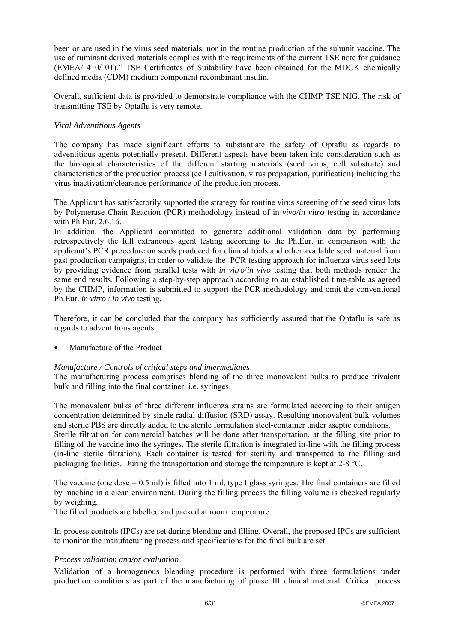been or are used in the virus seed materials, nor in the routine production of the subunit vaccine. The use of ruminant derived materials complies with the requirements of the current TSE note for guidance (EMEA/ 410/ 01)." TSE Certificates of Suitability have been obtained for the MDCK chemically defined media (CDM) medium component recombinant insulin.

Overall, sufficient data is provided to demonstrate compliance with the CHMP TSE NfG. The risk of transmitting TSE by Optaflu is very remote.

## *Viral Adventitious Agents*

The company has made significant efforts to substantiate the safety of Optaflu as regards to adventitious agents potentially present. Different aspects have been taken into consideration such as the biological characteristics of the different starting materials (seed virus, cell substrate) and characteristics of the production process (cell cultivation, virus propagation, purification) including the virus inactivation/clearance performance of the production process.

The Applicant has satisfactorily supported the strategy for routine virus screening of the seed virus lots by Polymerase Chain Reaction (PCR) methodology instead of in *vivo/in vitro* testing in accordance with Ph.Eur. 2.6.16.

In addition, the Applicant committed to generate additional validation data by performing retrospectively the full extraneous agent testing according to the Ph.Eur. in comparison with the applicant's PCR procedure on seeds produced for clinical trials and other available seed material from past production campaigns, in order to validate the PCR testing approach for influenza virus seed lots by providing evidence from parallel tests with *in vitro*/*in vivo* testing that both methods render the same end results. Following a step-by-step approach according to an established time-table as agreed by the CHMP, information is submitted to support the PCR methodology and omit the conventional Ph.Eur. *in vitro* / *in vivo* testing.

Therefore, it can be concluded that the company has sufficiently assured that the Optaflu is safe as regards to adventitious agents.

• Manufacture of the Product

## *Manufacture / Controls of critical steps and intermediates*

The manufacturing process comprises blending of the three monovalent bulks to produce trivalent bulk and filling into the final container, i.e. syringes.

The monovalent bulks of three different influenza strains are formulated according to their antigen concentration determined by single radial diffusion (SRD) assay. Resulting monovalent bulk volumes and sterile PBS are directly added to the sterile formulation steel-container under aseptic conditions. Sterile filtration for commercial batches will be done after transportation, at the filling site prior to filling of the vaccine into the syringes. The sterile filtration is integrated in-line with the filling process (in-line sterile filtration). Each container is tested for sterility and transported to the filling and packaging facilities. During the transportation and storage the temperature is kept at 2-8 °C.

The vaccine (one dose  $= 0.5$  ml) is filled into 1 ml, type I glass syringes. The final containers are filled by machine in a clean environment. During the filling process the filling volume is checked regularly by weighing.

The filled products are labelled and packed at room temperature.

In-process controls (IPCs) are set during blending and filling. Overall, the proposed IPCs are sufficient to monitor the manufacturing process and specifications for the final bulk are set.

## *Process validation and/or evaluation*

Validation of a homogenous blending procedure is performed with three formulations under production conditions as part of the manufacturing of phase III clinical material. Critical process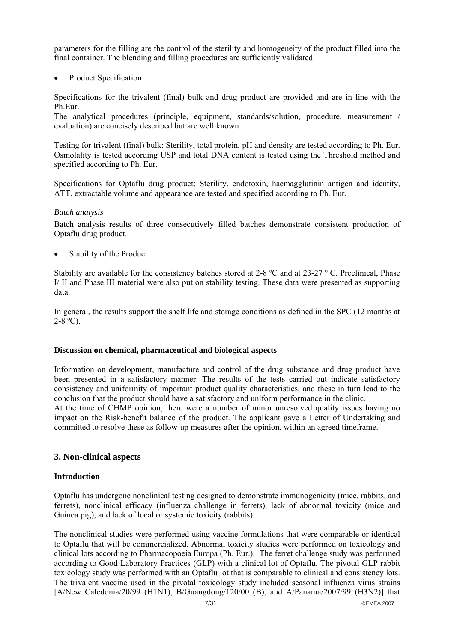parameters for the filling are the control of the sterility and homogeneity of the product filled into the final container. The blending and filling procedures are sufficiently validated.

Product Specification

Specifications for the trivalent (final) bulk and drug product are provided and are in line with the Ph.Eur.

The analytical procedures (principle, equipment, standards/solution, procedure, measurement / evaluation) are concisely described but are well known.

Testing for trivalent (final) bulk: Sterility, total protein, pH and density are tested according to Ph. Eur. Osmolality is tested according USP and total DNA content is tested using the Threshold method and specified according to Ph. Eur.

Specifications for Optaflu drug product: Sterility, endotoxin, haemagglutinin antigen and identity, ATT, extractable volume and appearance are tested and specified according to Ph. Eur.

## *Batch analysis*

Batch analysis results of three consecutively filled batches demonstrate consistent production of Optaflu drug product.

• Stability of the Product

Stability are available for the consistency batches stored at 2-8  $\degree$ C and at 23-27  $\degree$ C. Preclinical, Phase I/ II and Phase III material were also put on stability testing. These data were presented as supporting data.

In general, the results support the shelf life and storage conditions as defined in the SPC (12 months at  $2-8$  °C).

## **Discussion on chemical, pharmaceutical and biological aspects**

Information on development, manufacture and control of the drug substance and drug product have been presented in a satisfactory manner. The results of the tests carried out indicate satisfactory consistency and uniformity of important product quality characteristics, and these in turn lead to the conclusion that the product should have a satisfactory and uniform performance in the clinic. At the time of CHMP opinion, there were a number of minor unresolved quality issues having no

impact on the Risk-benefit balance of the product. The applicant gave a Letter of Undertaking and committed to resolve these as follow-up measures after the opinion, within an agreed timeframe.

## **3. Non-clinical aspects**

## **Introduction**

Optaflu has undergone nonclinical testing designed to demonstrate immunogenicity (mice, rabbits, and ferrets), nonclinical efficacy (influenza challenge in ferrets), lack of abnormal toxicity (mice and Guinea pig), and lack of local or systemic toxicity (rabbits).

The nonclinical studies were performed using vaccine formulations that were comparable or identical to Optaflu that will be commercialized. Abnormal toxicity studies were performed on toxicology and clinical lots according to Pharmacopoeia Europa (Ph. Eur.). The ferret challenge study was performed according to Good Laboratory Practices (GLP) with a clinical lot of Optaflu. The pivotal GLP rabbit toxicology study was performed with an Optaflu lot that is comparable to clinical and consistency lots. The trivalent vaccine used in the pivotal toxicology study included seasonal influenza virus strains [A/New Caledonia/20/99 (H1N1), B/Guangdong/120/00 (B), and A/Panama/2007/99 (H3N2)] that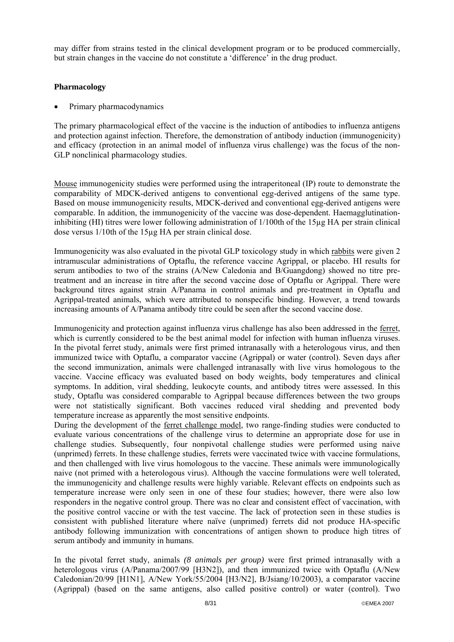may differ from strains tested in the clinical development program or to be produced commercially, but strain changes in the vaccine do not constitute a 'difference' in the drug product.

## **Pharmacology**

• Primary pharmacodynamics

The primary pharmacological effect of the vaccine is the induction of antibodies to influenza antigens and protection against infection. Therefore, the demonstration of antibody induction (immunogenicity) and efficacy (protection in an animal model of influenza virus challenge) was the focus of the non-GLP nonclinical pharmacology studies.

Mouse immunogenicity studies were performed using the intraperitoneal (IP) route to demonstrate the comparability of MDCK-derived antigens to conventional egg-derived antigens of the same type. Based on mouse immunogenicity results, MDCK-derived and conventional egg-derived antigens were comparable. In addition, the immunogenicity of the vaccine was dose-dependent. Haemagglutinationinhibiting (HI) titres were lower following administration of 1/100th of the 15µg HA per strain clinical dose versus 1/10th of the 15µg HA per strain clinical dose.

Immunogenicity was also evaluated in the pivotal GLP toxicology study in which rabbits were given 2 intramuscular administrations of Optaflu, the reference vaccine Agrippal, or placebo. HI results for serum antibodies to two of the strains (A/New Caledonia and B/Guangdong) showed no titre pretreatment and an increase in titre after the second vaccine dose of Optaflu or Agrippal. There were background titres against strain A/Panama in control animals and pre-treatment in Optaflu and Agrippal-treated animals, which were attributed to nonspecific binding. However, a trend towards increasing amounts of A/Panama antibody titre could be seen after the second vaccine dose.

Immunogenicity and protection against influenza virus challenge has also been addressed in the ferret, which is currently considered to be the best animal model for infection with human influenza viruses. In the pivotal ferret study, animals were first primed intranasally with a heterologous virus, and then immunized twice with Optaflu, a comparator vaccine (Agrippal) or water (control). Seven days after the second immunization, animals were challenged intranasally with live virus homologous to the vaccine. Vaccine efficacy was evaluated based on body weights, body temperatures and clinical symptoms. In addition, viral shedding, leukocyte counts, and antibody titres were assessed. In this study, Optaflu was considered comparable to Agrippal because differences between the two groups were not statistically significant. Both vaccines reduced viral shedding and prevented body temperature increase as apparently the most sensitive endpoints.

During the development of the ferret challenge model, two range-finding studies were conducted to evaluate various concentrations of the challenge virus to determine an appropriate dose for use in challenge studies. Subsequently, four nonpivotal challenge studies were performed using naive (unprimed) ferrets. In these challenge studies, ferrets were vaccinated twice with vaccine formulations, and then challenged with live virus homologous to the vaccine. These animals were immunologically naive (not primed with a heterologous virus). Although the vaccine formulations were well tolerated, the immunogenicity and challenge results were highly variable. Relevant effects on endpoints such as temperature increase were only seen in one of these four studies; however, there were also low responders in the negative control group. There was no clear and consistent effect of vaccination, with the positive control vaccine or with the test vaccine. The lack of protection seen in these studies is consistent with published literature where naïve (unprimed) ferrets did not produce HA-specific antibody following immunization with concentrations of antigen shown to produce high titres of serum antibody and immunity in humans.

In the pivotal ferret study, animals *(8 animals per group)* were first primed intranasally with a heterologous virus (A/Panama/2007/99 [H3N2]), and then immunized twice with Optaflu (A/New Caledonian/20/99 [H1N1], A/New York/55/2004 [H3/N2], B/Jsiang/10/2003), a comparator vaccine (Agrippal) (based on the same antigens, also called positive control) or water (control). Two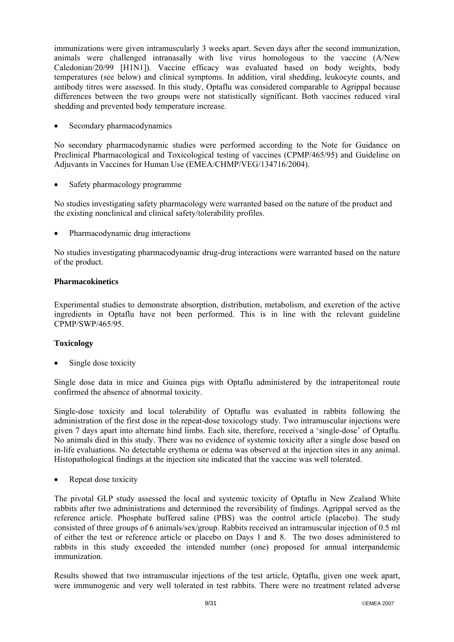immunizations were given intramuscularly 3 weeks apart. Seven days after the second immunization, animals were challenged intranasally with live virus homologous to the vaccine (A/New Caledonian/20/99 [H1N1]). Vaccine efficacy was evaluated based on body weights, body temperatures (see below) and clinical symptoms. In addition, viral shedding, leukocyte counts, and antibody titres were assessed. In this study, Optaflu was considered comparable to Agrippal because differences between the two groups were not statistically significant. Both vaccines reduced viral shedding and prevented body temperature increase.

Secondary pharmacodynamics

No secondary pharmacodynamic studies were performed according to the Note for Guidance on Preclinical Pharmacological and Toxicological testing of vaccines (CPMP/465/95) and Guideline on Adjuvants in Vaccines for Human Use (EMEA/CHMP/VEG/134716/2004).

Safety pharmacology programme

No studies investigating safety pharmacology were warranted based on the nature of the product and the existing nonclinical and clinical safety/tolerability profiles.

• Pharmacodynamic drug interactions

No studies investigating pharmacodynamic drug-drug interactions were warranted based on the nature of the product.

## **Pharmacokinetics**

Experimental studies to demonstrate absorption, distribution, metabolism, and excretion of the active ingredients in Optaflu have not been performed. This is in line with the relevant guideline CPMP/SWP/465/95.

## **Toxicology**

Single dose toxicity

Single dose data in mice and Guinea pigs with Optaflu administered by the intraperitoneal route confirmed the absence of abnormal toxicity.

Single-dose toxicity and local tolerability of Optaflu was evaluated in rabbits following the administration of the first dose in the repeat-dose toxicology study. Two intramuscular injections were given 7 days apart into alternate hind limbs. Each site, therefore, received a 'single-dose' of Optaflu. No animals died in this study. There was no evidence of systemic toxicity after a single dose based on in-life evaluations. No detectable erythema or edema was observed at the injection sites in any animal. Histopathological findings at the injection site indicated that the vaccine was well tolerated.

Repeat dose toxicity

The pivotal GLP study assessed the local and systemic toxicity of Optaflu in New Zealand White rabbits after two administrations and determined the reversibility of findings. Agrippal served as the reference article. Phosphate buffered saline (PBS) was the control article (placebo). The study consisted of three groups of 6 animals/sex/group. Rabbits received an intramuscular injection of 0.5 ml of either the test or reference article or placebo on Days 1 and 8. The two doses administered to rabbits in this study exceeded the intended number (one) proposed for annual interpandemic immunization.

Results showed that two intramuscular injections of the test article, Optaflu, given one week apart, were immunogenic and very well tolerated in test rabbits. There were no treatment related adverse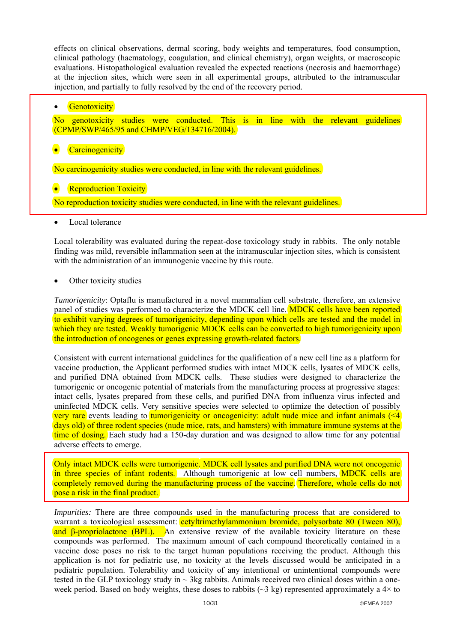effects on clinical observations, dermal scoring, body weights and temperatures, food consumption, clinical pathology (haematology, coagulation, and clinical chemistry), organ weights, or macroscopic evaluations. Histopathological evaluation revealed the expected reactions (necrosis and haemorrhage) at the injection sites, which were seen in all experimental groups, attributed to the intramuscular injection, and partially to fully resolved by the end of the recovery period.

|           | <b>Genotoxicity</b>    |                              |                                                                                                                                     |  |  |  |  |
|-----------|------------------------|------------------------------|-------------------------------------------------------------------------------------------------------------------------------------|--|--|--|--|
|           |                        |                              | No genotoxicity studies were conducted. This is in line with the relevant guidelines<br>(CPMP/SWP/465/95 and CHMP/VEG/134716/2004). |  |  |  |  |
| $\bullet$ | <b>Carcinogenicity</b> |                              |                                                                                                                                     |  |  |  |  |
|           |                        |                              | No carcinogenicity studies were conducted, in line with the relevant guidelines.                                                    |  |  |  |  |
| $\bullet$ |                        | <b>Reproduction Toxicity</b> | No reproduction toxicity studies were conducted, in line with the relevant guidelines.                                              |  |  |  |  |
|           | Local tolerance        |                              |                                                                                                                                     |  |  |  |  |

Local tolerability was evaluated during the repeat-dose toxicology study in rabbits. The only notable finding was mild, reversible inflammation seen at the intramuscular injection sites, which is consistent with the administration of an immunogenic vaccine by this route.

## Other toxicity studies

*Tumorigenicity*: Optaflu is manufactured in a novel mammalian cell substrate, therefore, an extensive panel of studies was performed to characterize the MDCK cell line. MDCK cells have been reported to exhibit varying degrees of tumorigenicity, depending upon which cells are tested and the model in which they are tested. Weakly tumorigenic MDCK cells can be converted to high tumorigenicity upon the introduction of oncogenes or genes expressing growth-related factors.

Consistent with current international guidelines for the qualification of a new cell line as a platform for vaccine production, the Applicant performed studies with intact MDCK cells, lysates of MDCK cells, and purified DNA obtained from MDCK cells. These studies were designed to characterize the tumorigenic or oncogenic potential of materials from the manufacturing process at progressive stages: intact cells, lysates prepared from these cells, and purified DNA from influenza virus infected and uninfected MDCK cells. Very sensitive species were selected to optimize the detection of possibly very rare events leading to tumorigenicity or oncogenicity: adult nude mice and infant animals  $\ll 4$ days old) of three rodent species (nude mice, rats, and hamsters) with immature immune systems at the time of dosing. Each study had a 150-day duration and was designed to allow time for any potential adverse effects to emerge.

Only intact MDCK cells were tumorigenic. MDCK cell lysates and purified DNA were not oncogenic in three species of infant rodents. Although tumorigenic at low cell numbers, MDCK cells are completely removed during the manufacturing process of the vaccine. Therefore, whole cells do not pose a risk in the final product.

*Impurities:* There are three compounds used in the manufacturing process that are considered to warrant a toxicological assessment: **cetyltrimethylammonium bromide**, polysorbate 80 (Tween 80), and β-propriolactone (BPL). An extensive review of the available toxicity literature on these compounds was performed. The maximum amount of each compound theoretically contained in a vaccine dose poses no risk to the target human populations receiving the product. Although this application is not for pediatric use, no toxicity at the levels discussed would be anticipated in a pediatric population. Tolerability and toxicity of any intentional or unintentional compounds were tested in the GLP toxicology study in  $\sim$  3kg rabbits. Animals received two clinical doses within a oneweek period. Based on body weights, these doses to rabbits ( $\sim$ 3 kg) represented approximately a 4 $\times$  to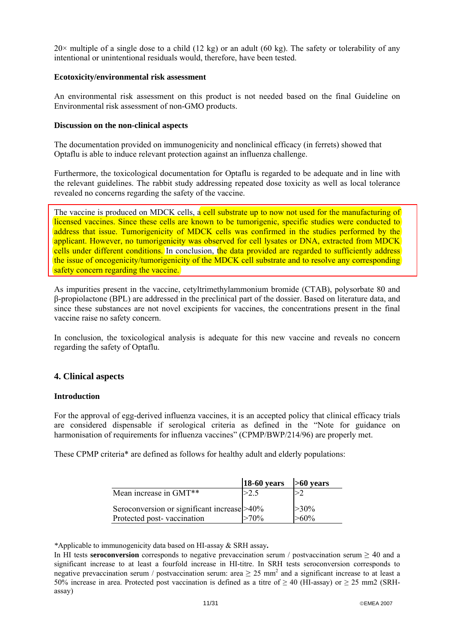$20\times$  multiple of a single dose to a child (12 kg) or an adult (60 kg). The safety or tolerability of any intentional or unintentional residuals would, therefore, have been tested.

## **Ecotoxicity/environmental risk assessment**

An environmental risk assessment on this product is not needed based on the final Guideline on Environmental risk assessment of non-GMO products.

### **Discussion on the non-clinical aspects**

The documentation provided on immunogenicity and nonclinical efficacy (in ferrets) showed that Optaflu is able to induce relevant protection against an influenza challenge.

Furthermore, the toxicological documentation for Optaflu is regarded to be adequate and in line with the relevant guidelines. The rabbit study addressing repeated dose toxicity as well as local tolerance revealed no concerns regarding the safety of the vaccine.

The vaccine is produced on MDCK cells, a cell substrate up to now not used for the manufacturing of licensed vaccines. Since these cells are known to be tumorigenic, specific studies were conducted to address that issue. Tumorigenicity of MDCK cells was confirmed in the studies performed by the applicant. However, no tumorigenicity was observed for cell lysates or DNA, extracted from MDCK cells under different conditions. In conclusion, the data provided are regarded to sufficiently address the issue of oncogenicity/tumorigenicity of the MDCK cell substrate and to resolve any corresponding safety concern regarding the vaccine.

As impurities present in the vaccine, cetyltrimethylammonium bromide (CTAB), polysorbate 80 and β-propiolactone (BPL) are addressed in the preclinical part of the dossier. Based on literature data, and since these substances are not novel excipients for vaccines, the concentrations present in the final vaccine raise no safety concern.

In conclusion, the toxicological analysis is adequate for this new vaccine and reveals no concern regarding the safety of Optaflu.

## **4. Clinical aspects**

## **Introduction**

For the approval of egg-derived influenza vaccines, it is an accepted policy that clinical efficacy trials are considered dispensable if serological criteria as defined in the "Note for guidance on harmonisation of requirements for influenza vaccines" (CPMP/BWP/214/96) are properly met.

These CPMP criteria\* are defined as follows for healthy adult and elderly populations:

|                                                                            | $18-60$ years | $>60$ years        |
|----------------------------------------------------------------------------|---------------|--------------------|
| Mean increase in GMT <sup>**</sup>                                         | >2.5          |                    |
| Seroconversion or significant increase > 40%<br>Protected post-vaccination | $>70\%$       | $>30\%$<br>$>60\%$ |

*\**Applicable to immunogenicity data based on HI-assay & SRH assay**.** 

In HI tests **seroconversion** corresponds to negative prevaccination serum / postvaccination serum  $\geq 40$  and a significant increase to at least a fourfold increase in HI-titre. In SRH tests seroconversion corresponds to negative prevaccination serum / postvaccination serum: area  $\geq 25$  mm<sup>2</sup> and a significant increase to at least a 50% increase in area. Protected post vaccination is defined as a titre of  $\geq$  40 (HI-assay) or  $\geq$  25 mm2 (SRHassay)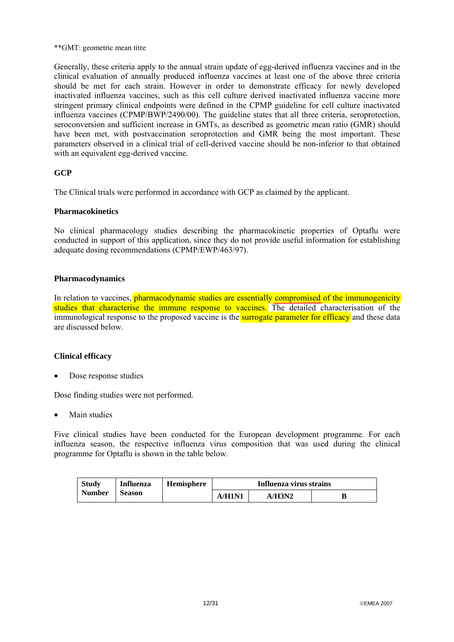#### \*\*GMT: geometric mean titre

Generally, these criteria apply to the annual strain update of egg-derived influenza vaccines and in the clinical evaluation of annually produced influenza vaccines at least one of the above three criteria should be met for each strain. However in order to demonstrate efficacy for newly developed inactivated influenza vaccines, such as this cell culture derived inactivated influenza vaccine more stringent primary clinical endpoints were defined in the CPMP guideline for cell culture inactivated influenza vaccines (CPMP/BWP/2490/00). The guideline states that all three criteria, seroprotection, seroconversion and sufficient increase in GMTs, as described as geometric mean ratio (GMR) should have been met, with postvaccination seroprotection and GMR being the most important. These parameters observed in a clinical trial of cell-derived vaccine should be non-inferior to that obtained with an equivalent egg-derived vaccine.

## **GCP**

The Clinical trials were performed in accordance with GCP as claimed by the applicant.

## **Pharmacokinetics**

No clinical pharmacology studies describing the pharmacokinetic properties of Optaflu were conducted in support of this application, since they do not provide useful information for establishing adequate dosing recommendations (CPMP/EWP/463/97).

## **Pharmacodynamics**

In relation to vaccines, pharmacodynamic studies are essentially compromised of the immunogenicity studies that characterise the immune response to vaccines. The detailed characterisation of the immunological response to the proposed vaccine is the surrogate parameter for efficacy and these data are discussed below.

## **Clinical efficacy**

Dose response studies

Dose finding studies were not performed.

Main studies

Five clinical studies have been conducted for the European development programme. For each influenza season, the respective influenza virus composition that was used during the clinical programme for Optaflu is shown in the table below.

| <b>Study</b>  | <b>Influenza</b> | <b>Hemisphere</b> |        | Influenza virus strains |  |  |  |  |
|---------------|------------------|-------------------|--------|-------------------------|--|--|--|--|
| <b>Number</b> | <b>Season</b>    |                   | A/H1N1 | A/H3N2                  |  |  |  |  |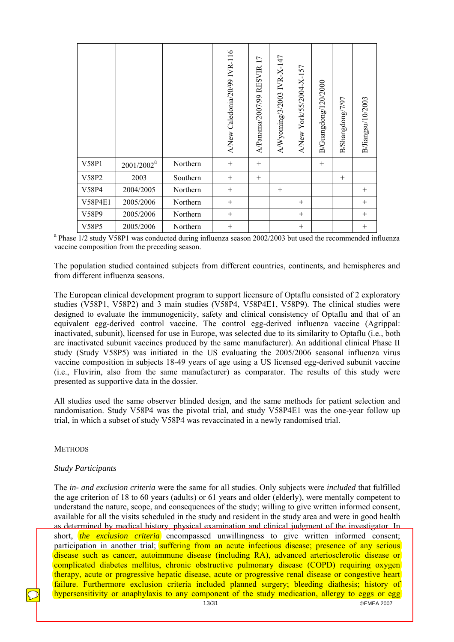|         |               |          | A/New Caledonia/20/99 IVR-116 | 17<br>A/Panama/2007/99 RESVIR | $A/W$ yoming/3/2003 IVR-X-147 | A/New York/55/2004-X-157 | B/Guangdong/120/2000 | B/Shangdong/7/97 | B/Jiangsu/10/2003 |
|---------|---------------|----------|-------------------------------|-------------------------------|-------------------------------|--------------------------|----------------------|------------------|-------------------|
| V58P1   | $2001/2002^a$ | Northern | $^{+}$                        | $+$                           |                               |                          | $^{+}$               |                  |                   |
| V58P2   | 2003          | Southern | $^{+}$                        | $^{+}$                        |                               |                          |                      | $^{+}$           |                   |
| V58P4   | 2004/2005     | Northern | $^{+}$                        |                               | $^{+}$                        |                          |                      |                  | $^{+}$            |
| V58P4E1 | 2005/2006     | Northern | $^{+}$                        |                               |                               | $^{+}$                   |                      |                  | $+$               |
| V58P9   | 2005/2006     | Northern | $^{+}$                        |                               |                               | $^{+}$                   |                      |                  | $^{+}$            |
| V58P5   | 2005/2006     | Northern | $^{+}$                        |                               |                               | $\! + \!\!\!\!$          |                      |                  | $\! + \!\!\!\!$   |

 $\frac{V58P5}{r^a}$  2005/2006 Northern  $\frac{+}{2005/2006}$  Northern  $\frac{+}{2000}$  was conducted during influenza season 2002/2003 but used the recommended influenza vaccine composition from the preceding season.

The population studied contained subjects from different countries, continents, and hemispheres and from different influenza seasons.

The European clinical development program to support licensure of Optaflu consisted of 2 exploratory studies (V58P1, V58P2) and 3 main studies (V58P4, V58P4E1, V58P9). The clinical studies were designed to evaluate the immunogenicity, safety and clinical consistency of Optaflu and that of an equivalent egg-derived control vaccine. The control egg-derived influenza vaccine (Agrippal: inactivated, subunit), licensed for use in Europe, was selected due to its similarity to Optaflu (i.e., both are inactivated subunit vaccines produced by the same manufacturer). An additional clinical Phase II study (Study V58P5) was initiated in the US evaluating the 2005/2006 seasonal influenza virus vaccine composition in subjects 18-49 years of age using a US licensed egg-derived subunit vaccine (i.e., Fluvirin, also from the same manufacturer) as comparator. The results of this study were presented as supportive data in the dossier.

All studies used the same observer blinded design, and the same methods for patient selection and randomisation. Study V58P4 was the pivotal trial, and study V58P4E1 was the one-year follow up trial, in which a subset of study V58P4 was revaccinated in a newly randomised trial.

## **METHODS**

#### *Study Participants*

The *in- and exclusion criteria* were the same for all studies. Only subjects were *included* that fulfilled the age criterion of 18 to 60 years (adults) or 61 years and older (elderly), were mentally competent to understand the nature, scope, and consequences of the study; willing to give written informed consent, available for all the visits scheduled in the study and resident in the study area and were in good health as determined by medical history, physical examination and clinical judgment of the investigator. In short, *the exclusion criteria* encompassed unwillingness to give written informed consent; participation in another trial; suffering from an acute infectious disease; presence of any serious disease such as cancer, autoimmune disease (including RA), advanced arteriosclerotic disease or complicated diabetes mellitus, chronic obstructive pulmonary disease (COPD) requiring oxygen therapy, acute or progressive hepatic disease, acute or progressive renal disease or congestive heart failure. Furthermore exclusion criteria included planned surgery; bleeding diathesis; history of hypersensitivity or anaphylaxis to any component of the study medication, allergy to eggs or egg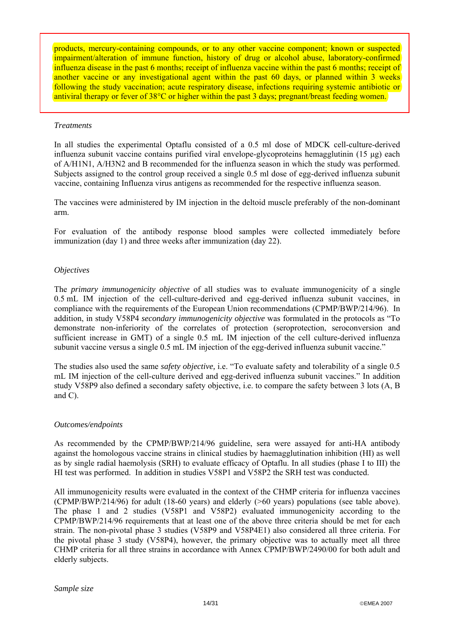products, mercury-containing compounds, or to any other vaccine component; known or suspected impairment/alteration of immune function, history of drug or alcohol abuse, laboratory-confirmed influenza disease in the past 6 months; receipt of influenza vaccine within the past 6 months; receipt of another vaccine or any investigational agent within the past 60 days, or planned within 3 weeks following the study vaccination; acute respiratory disease, infections requiring systemic antibiotic or antiviral therapy or fever of 38<sup>o</sup>C or higher within the past 3 days; pregnant/breast feeding women.

#### *Treatments*

In all studies the experimental Optaflu consisted of a 0.5 ml dose of MDCK cell-culture-derived influenza subunit vaccine contains purified viral envelope-glycoproteins hemagglutinin (15 μg) each of A/H1N1, A/H3N2 and B recommended for the influenza season in which the study was performed. Subjects assigned to the control group received a single 0.5 ml dose of egg-derived influenza subunit vaccine, containing Influenza virus antigens as recommended for the respective influenza season.

The vaccines were administered by IM injection in the deltoid muscle preferably of the non-dominant arm.

For evaluation of the antibody response blood samples were collected immediately before immunization (day 1) and three weeks after immunization (day 22).

## *Objectives*

The *primary immunogenicity objective* of all studies was to evaluate immunogenicity of a single 0.5 mL IM injection of the cell-culture-derived and egg-derived influenza subunit vaccines, in compliance with the requirements of the European Union recommendations (CPMP/BWP/214/96). In addition, in study V58P4 *secondary immunogenicity objective* was formulated in the protocols as "To demonstrate non-inferiority of the correlates of protection (seroprotection, seroconversion and sufficient increase in GMT) of a single 0.5 mL IM injection of the cell culture-derived influenza subunit vaccine versus a single 0.5 mL IM injection of the egg-derived influenza subunit vaccine."

The studies also used the same *safety objective,* i.e. "To evaluate safety and tolerability of a single 0.5 mL IM injection of the cell-culture derived and egg-derived influenza subunit vaccines." In addition study V58P9 also defined a secondary safety objective, i.e. to compare the safety between 3 lots (A, B and C).

#### *Outcomes/endpoints*

As recommended by the CPMP/BWP/214/96 guideline, sera were assayed for anti-HA antibody against the homologous vaccine strains in clinical studies by haemagglutination inhibition (HI) as well as by single radial haemolysis (SRH) to evaluate efficacy of Optaflu. In all studies (phase I to III) the HI test was performed. In addition in studies V58P1 and V58P2 the SRH test was conducted.

All immunogenicity results were evaluated in the context of the CHMP criteria for influenza vaccines (CPMP/BWP/214/96) for adult (18-60 years) and elderly (>60 years) populations (see table above). The phase 1 and 2 studies (V58P1 and V58P2) evaluated immunogenicity according to the CPMP/BWP/214/96 requirements that at least one of the above three criteria should be met for each strain. The non-pivotal phase 3 studies (V58P9 and V58P4E1) also considered all three criteria. For the pivotal phase 3 study (V58P4), however, the primary objective was to actually meet all three CHMP criteria for all three strains in accordance with Annex CPMP/BWP/2490/00 for both adult and elderly subjects.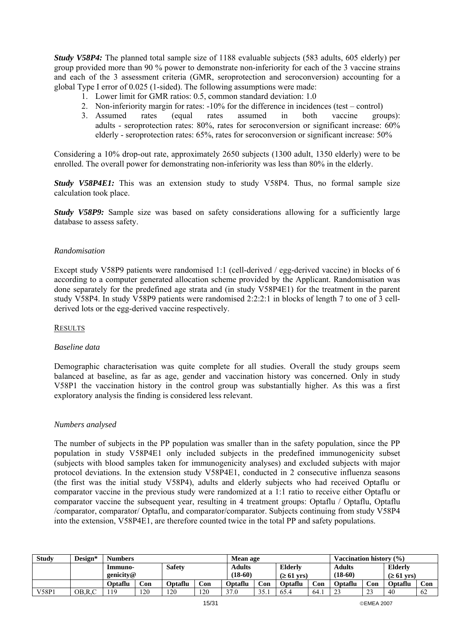*Study V58P4:* The planned total sample size of 1188 evaluable subjects (583 adults, 605 elderly) per group provided more than 90 % power to demonstrate non-inferiority for each of the 3 vaccine strains and each of the 3 assessment criteria (GMR, seroprotection and seroconversion) accounting for a global Type I error of 0.025 (1-sided). The following assumptions were made:

- 1. Lower limit for GMR ratios: 0.5, common standard deviation: 1.0
- 2. Non-inferiority margin for rates: -10% for the difference in incidences (test control)
- 3. Assumed rates (equal rates assumed in both vaccine groups): adults - seroprotection rates: 80%, rates for seroconversion or significant increase: 60% elderly - seroprotection rates: 65%, rates for seroconversion or significant increase: 50%

Considering a 10% drop-out rate, approximately 2650 subjects (1300 adult, 1350 elderly) were to be enrolled. The overall power for demonstrating non-inferiority was less than 80% in the elderly.

*Study V58P4E1:* This was an extension study to study V58P4. Thus, no formal sample size calculation took place.

*Study V58P9:* Sample size was based on safety considerations allowing for a sufficiently large database to assess safety.

## *Randomisation*

Except study V58P9 patients were randomised 1:1 (cell-derived / egg-derived vaccine) in blocks of 6 according to a computer generated allocation scheme provided by the Applicant. Randomisation was done separately for the predefined age strata and (in study V58P4E1) for the treatment in the parent study V58P4. In study V58P9 patients were randomised 2:2:2:1 in blocks of length 7 to one of 3 cellderived lots or the egg-derived vaccine respectively.

#### **RESULTS**

#### *Baseline data*

Demographic characterisation was quite complete for all studies. Overall the study groups seem balanced at baseline, as far as age, gender and vaccination history was concerned. Only in study V58P1 the vaccination history in the control group was substantially higher. As this was a first exploratory analysis the finding is considered less relevant.

#### *Numbers analysed*

The number of subjects in the PP population was smaller than in the safety population, since the PP population in study V58P4E1 only included subjects in the predefined immunogenicity subset (subjects with blood samples taken for immunogenicity analyses) and excluded subjects with major protocol deviations. In the extension study V58P4E1, conducted in 2 consecutive influenza seasons (the first was the initial study V58P4), adults and elderly subjects who had received Optaflu or comparator vaccine in the previous study were randomized at a 1:1 ratio to receive either Optaflu or comparator vaccine the subsequent year, resulting in 4 treatment groups: Optaflu / Optaflu, Optaflu /comparator, comparator/ Optaflu, and comparator/comparator. Subjects continuing from study V58P4 into the extension, V58P4E1, are therefore counted twice in the total PP and safety populations.

| <b>Study</b> | Design*  | <b>Numbers</b>           |     |           |               |                          | <b>Mean age</b> |           |               |                          | (9/0)<br>Vaccination historv |         |     |
|--------------|----------|--------------------------|-----|-----------|---------------|--------------------------|-----------------|-----------|---------------|--------------------------|------------------------------|---------|-----|
|              |          | <b>Safety</b><br>Immuno- |     |           | <b>Adults</b> | <b>Elderly</b>           |                 |           | <b>Adults</b> |                          | <b>Elderly</b>               |         |     |
|              |          | genicity@                |     | $(18-60)$ |               | $( \geq 61 \text{ yrs})$ |                 | $(18-60)$ |               | $( \geq 61 \text{ yrs})$ |                              |         |     |
|              |          | Optaflu                  | Con | Optaflu   | Con           | <b>Optaflu</b>           | Con             | Optaflu   | Con           | Optaflu                  | Con                          | Optaflu | Con |
| V58P1        | OB, R, C |                          | 120 | 120       | 120           | 270                      | 35<br>.         | 65.4      | 64.           | $\mathcal{L}$<br>ر ے     | $\mathbf{A}$<br>ر ے          | 40      | 62  |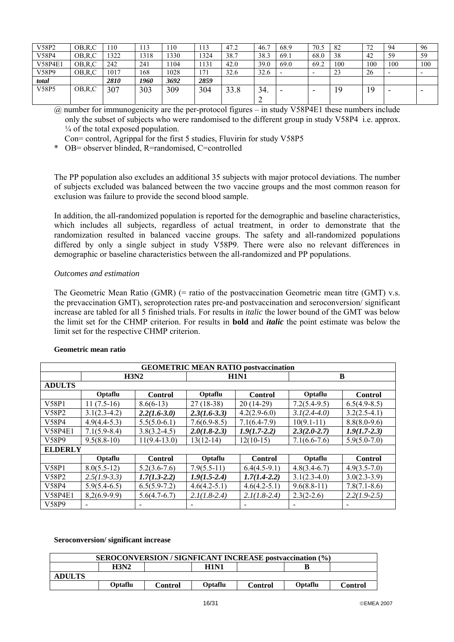| V58P2          | OB,R,C   | 10   | 12<br>115 | .10  | 113  | 47.2 | 46.  | 68.9 | 70.5 | 82  | 72<br>ے ا | 94                       | -96 |
|----------------|----------|------|-----------|------|------|------|------|------|------|-----|-----------|--------------------------|-----|
| V58P4          | OB,R,C   | 1322 | 1318      | 330  | 1324 | 38.7 | 38.3 | 69.1 | 68.0 | 38  | 42        | 59                       | 59  |
| <b>V58P4E1</b> | OB,R,C   | 242  | 241       | 104  | 1131 | 42.0 | 39.0 | 69.0 | 69.2 | 100 | 100       | 100                      | 100 |
| V58P9          | OB, R, C | 1017 | 168       | 1028 | 171  | 32.6 | 32.6 |      |      | 23  | 26        | $\overline{\phantom{0}}$ |     |
| total          |          | 2810 | 1960      | 3692 | 2859 |      |      |      |      |     |           |                          |     |
| V58P5          | OB,R,C   | 307  | 303       | 309  | 304  | 33.8 | 34.  | -    |      | 19  | 19        | -                        |     |
|                |          |      |           |      |      |      |      |      |      |     |           |                          |     |

<sup>@</sup> number for immunogenicity are the per-protocol figures – in study V58P4E1 these numbers include only the subset of subjects who were randomised to the different group in study V58P4 i.e. approx.  $\frac{1}{4}$  of the total exposed population.

Con= control, Agrippal for the first 5 studies, Fluvirin for study V58P5

\* OB= observer blinded, R=randomised, C=controlled

The PP population also excludes an additional 35 subjects with major protocol deviations. The number of subjects excluded was balanced between the two vaccine groups and the most common reason for exclusion was failure to provide the second blood sample.

In addition, the all-randomized population is reported for the demographic and baseline characteristics, which includes all subjects, regardless of actual treatment, in order to demonstrate that the randomization resulted in balanced vaccine groups. The safety and all-randomized populations differed by only a single subject in study V58P9. There were also no relevant differences in demographic or baseline characteristics between the all-randomized and PP populations.

#### *Outcomes and estimation*

The Geometric Mean Ratio (GMR) (= ratio of the postvaccination Geometric mean titre (GMT) v.s. the prevaccination GMT), seroprotection rates pre-and postvaccination and seroconversion/ significant increase are tabled for all 5 finished trials. For results in *italic* the lower bound of the GMT was below the limit set for the CHMP criterion. For results in **bold** and *italic* the point estimate was below the limit set for the respective CHMP criterion.

|                | <b>GEOMETRIC MEAN RATIO postvaccination</b> |                  |                |                |                |                          |  |  |  |  |  |  |
|----------------|---------------------------------------------|------------------|----------------|----------------|----------------|--------------------------|--|--|--|--|--|--|
|                |                                             | H3N2             |                | <b>H1N1</b>    | B              |                          |  |  |  |  |  |  |
| <b>ADULTS</b>  |                                             |                  |                |                |                |                          |  |  |  |  |  |  |
|                | Optaflu                                     | <b>Control</b>   | Optaflu        | <b>Control</b> | Optaflu        | <b>Control</b>           |  |  |  |  |  |  |
| V58P1          | $11(7.5-16)$                                | $8.6(6-13)$      | $27(18-38)$    | $20(14-29)$    | $7.2(5.4-9.5)$ | $6.5(4.9-8.5)$           |  |  |  |  |  |  |
| V58P2          | $3.1(2.3-4.2)$                              | $2.2(1.6-3.0)$   | $2.3(1.6-3.3)$ | $4.2(2.9-6.0)$ | $3.1(2.4-4.0)$ | $3.2(2.5-4.1)$           |  |  |  |  |  |  |
| V58P4          | $4.9(4.4-5.3)$                              | $5.5(5.0-6.1)$   | $7.6(6.9-8.5)$ | $7.1(6.4-7.9)$ | $10(9.1-11)$   | $8.8(8.0-9.6)$           |  |  |  |  |  |  |
| <b>V58P4E1</b> | $7.1(5.9 - 8.4)$                            | $3.8(3.2 - 4.5)$ | $2.0(1.8-2.3)$ | $1.9(1.7-2.2)$ | $2.3(2.0-2.7)$ | $1.9(1.7-2.3)$           |  |  |  |  |  |  |
| V58P9          | $9.5(8.8-10)$                               | $11(9.4-13.0)$   | $13(12-14)$    | $12(10-15)$    | $7.1(6.6-7.6)$ | $5.9(5.0 - 7.0)$         |  |  |  |  |  |  |
| <b>ELDERLY</b> |                                             |                  |                |                |                |                          |  |  |  |  |  |  |
|                | Optaflu                                     | <b>Control</b>   | Optaflu        | <b>Control</b> | Optaflu        | <b>Control</b>           |  |  |  |  |  |  |
| V58P1          | $8.0(5.5-12)$                               | $5.2(3.6-7.6)$   | $7.9(5.5-11)$  | $6.4(4.5-9.1)$ | $4.8(3.4-6.7)$ | $4.9(3.5 - 7.0)$         |  |  |  |  |  |  |
| V58P2          | $2.5(1.9-3.3)$                              | $1.7(1.3-2.2)$   | $1.9(1.5-2.4)$ | $1.7(1.4-2.2)$ | $3.1(2.3-4.0)$ | $3.0(2.3-3.9)$           |  |  |  |  |  |  |
| V58P4          | $5.9(5.4-6.5)$                              | $6.5(5.9-7.2)$   | $4.6(4.2-5.1)$ | $4.6(4.2-5.1)$ | $9.6(8.8-11)$  | $7.8(7.1-8.6)$           |  |  |  |  |  |  |
| V58P4E1        | $8,2(6.9-9.9)$                              | $5.6(4.7-6.7)$   | $2.1(1.8-2.4)$ | $2.1(1.8-2.4)$ | $2.3(2-2.6)$   | $2.2(1.9-2.5)$           |  |  |  |  |  |  |
| V58P9          |                                             |                  |                |                |                | $\overline{\phantom{a}}$ |  |  |  |  |  |  |

#### **Geometric mean ratio**

#### **Seroconversion/ significant increase**

|               |         | <b>SEROCONVERSION/SIGNFICANT INCREASE postvaccination (%)</b> |             |         |         |         |
|---------------|---------|---------------------------------------------------------------|-------------|---------|---------|---------|
|               | H3N2    |                                                               | <b>H1N1</b> |         |         |         |
| <b>ADULTS</b> |         |                                                               |             |         |         |         |
|               | Optaflu | Control                                                       | Optaflu     | Control | Optaflu | Control |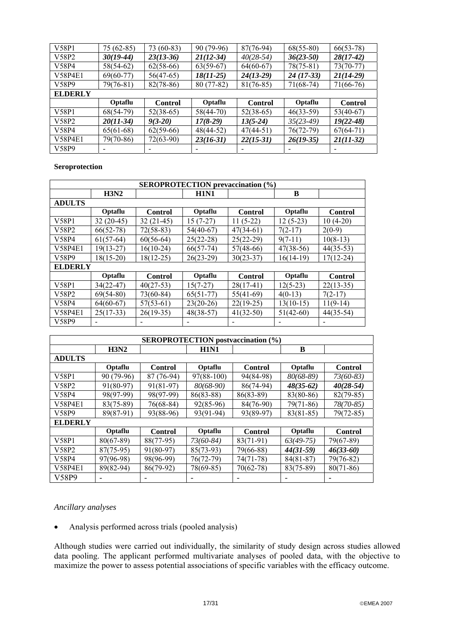| V58P1          | $75(62-85)$ | 73 (60-83)     | 90 (79-96)  | $87(76-94)$    | $68(55-80)$ | $66(53-78)$    |
|----------------|-------------|----------------|-------------|----------------|-------------|----------------|
| V58P2          | $30(19-44)$ | $23(13-36)$    | $21(12-34)$ | $40(28-54)$    | $36(23-50)$ | $28(17-42)$    |
| V58P4          | $58(54-62)$ | $62(58-66)$    | $63(59-67)$ | $64(60-67)$    | $78(75-81)$ | $73(70-77)$    |
| V58P4E1        | $69(60-77)$ | $56(47-65)$    | 18(11-25)   | $24(13-29)$    | $24(17-33)$ | $21(14-29)$    |
| V58P9          | $79(76-81)$ | $82(78-86)$    | $80(77-82)$ | $81(76-85)$    | $71(68-74)$ | 71(66-76)      |
| <b>ELDERLY</b> |             |                |             |                |             |                |
|                |             |                |             |                |             |                |
|                | Optaflu     | <b>Control</b> | Optaflu     | <b>Control</b> | Optaflu     | <b>Control</b> |
| V58P1          | $68(54-79)$ | $52(38-65)$    | $58(44-70)$ | $52(38-65)$    | $46(33-59)$ | $53(40-67)$    |
| V58P2          | $20(11-34)$ | $9(3-20)$      | $17(8-29)$  | $13(5-24)$     | $35(23-49)$ | $19(22 - 48)$  |
| V58P4          | $65(61-68)$ | $62(59-66)$    | $48(44-52)$ | $47(44-51)$    | $76(72-79)$ | $67(64-71)$    |
| V58P4E1        | 79(70-86)   | $72(63-90)$    | $23(16-31)$ | $22(15-31)$    | $26(19-35)$ | $21(11-32)$    |

#### **Seroprotection**

| <b>SEROPROTECTION</b> prevaccination (%) |             |                |             |                |             |                |  |  |  |  |  |
|------------------------------------------|-------------|----------------|-------------|----------------|-------------|----------------|--|--|--|--|--|
|                                          | H3N2        |                | <b>H1N1</b> |                | B           |                |  |  |  |  |  |
| <b>ADULTS</b>                            |             |                |             |                |             |                |  |  |  |  |  |
|                                          | Optaflu     | <b>Control</b> | Optaflu     | <b>Control</b> | Optaflu     | <b>Control</b> |  |  |  |  |  |
| V58P1                                    | $32(20-45)$ | $32(21-45)$    | $15(7-27)$  | $11(5-22)$     | $12(5-23)$  | $10(4-20)$     |  |  |  |  |  |
| V58P2                                    | $66(52-78)$ | $72(58-83)$    | $54(40-67)$ | $47(34-61)$    | $7(2-17)$   | $2(0-9)$       |  |  |  |  |  |
| V58P4                                    | $61(57-64)$ | $60(56-64)$    | $25(22-28)$ | $25(22-29)$    | $9(7-11)$   | $10(8-13)$     |  |  |  |  |  |
| <b>V58P4E1</b>                           | $19(13-27)$ | $16(10-24)$    | $66(57-74)$ | $57(48-66)$    | $47(38-56)$ | $44(35-53)$    |  |  |  |  |  |
| V58P9                                    | $18(15-20)$ | $18(12-25)$    | $26(23-29)$ | $30(23-37)$    | $16(14-19)$ | $17(12-24)$    |  |  |  |  |  |
| <b>ELDERLY</b>                           |             |                |             |                |             |                |  |  |  |  |  |
|                                          | Optaflu     | <b>Control</b> | Optaflu     | <b>Control</b> | Optaflu     | <b>Control</b> |  |  |  |  |  |
| V58P1                                    | $34(22-47)$ | $40(27-53)$    | $15(7-27)$  | $28(17-41)$    | $12(5-23)$  | $22(13-35)$    |  |  |  |  |  |
| V58P2                                    | $69(54-80)$ | $73(60-84)$    | $65(51-77)$ | $55(41-69)$    | $4(0-13)$   | $7(2-17)$      |  |  |  |  |  |
| V58P4                                    | $64(60-67)$ | $57(53-61)$    | $23(20-26)$ | $22(19-25)$    | $13(10-15)$ | $11(9-14)$     |  |  |  |  |  |
| V58P4E1                                  | $25(17-33)$ | $26(19-35)$    | $48(38-57)$ | $41(32-50)$    | $51(42-60)$ | $44(35-54)$    |  |  |  |  |  |
| V58P9                                    |             | ۰              | -           |                |             |                |  |  |  |  |  |

| <b>SEROPROTECTION</b> postvaccination (%) |             |                |               |                          |             |                |  |  |  |
|-------------------------------------------|-------------|----------------|---------------|--------------------------|-------------|----------------|--|--|--|
|                                           | <b>H3N2</b> |                | <b>H1N1</b>   |                          | B           |                |  |  |  |
| <b>ADULTS</b>                             |             |                |               |                          |             |                |  |  |  |
|                                           | Optaflu     | <b>Control</b> | Optaflu       | <b>Control</b>           | Optaflu     | <b>Control</b> |  |  |  |
| V58P1                                     | 90 (79-96)  | 87 (76-94)     | $97(88-100)$  | 94(84-98)                | $80(68-89)$ | $73(60-83)$    |  |  |  |
| V58P2                                     | $91(80-97)$ | $91(81-97)$    | $80(68-90)$   | 86(74-94)                | $48(35-62)$ | $40(28-54)$    |  |  |  |
| V58P4                                     | 98(97-99)   | 98(97-99)      | $86(83 - 88)$ | $86(83-89)$              | 83(80-86)   | $82(79-85)$    |  |  |  |
| V58P4E1                                   | $83(75-89)$ | $76(68-84)$    | $92(85-96)$   | 84(76-90)                | $79(71-86)$ | 78(70-85)      |  |  |  |
| V58P9                                     | 89(87-91)   | 93(88-96)      | $93(91-94)$   | 93(89-97)                | $83(81-85)$ | $79(72 - 85)$  |  |  |  |
| <b>ELDERLY</b>                            |             |                |               |                          |             |                |  |  |  |
|                                           | Optaflu     | <b>Control</b> | Optaflu       | <b>Control</b>           | Optaflu     | <b>Control</b> |  |  |  |
| V58P1                                     | $80(67-89)$ | 88(77-95)      | $73(60-84)$   | $83(71-91)$              | $63(49-75)$ | $79(67-89)$    |  |  |  |
| V58P2                                     | $87(75-95)$ | 91(80-97)      | $85(73-93)$   | 79(66-88)                | $44(31-59)$ | $46(33-60)$    |  |  |  |
| V58P4                                     | 97(96-98)   | 98(96-99)      | $76(72-79)$   | $74(71-78)$              | $84(81-87)$ | 79(76-82)      |  |  |  |
| V58P4E1                                   | 89(82-94)   | 86(79-92)      | $78(69-85)$   | $70(62-78)$              | $83(75-89)$ | $80(71-86)$    |  |  |  |
| V58P9                                     |             |                |               | $\overline{\phantom{0}}$ |             |                |  |  |  |

## *Ancillary analyses*

• Analysis performed across trials (pooled analysis)

Although studies were carried out individually, the similarity of study design across studies allowed data pooling. The applicant performed multivariate analyses of pooled data, with the objective to maximize the power to assess potential associations of specific variables with the efficacy outcome.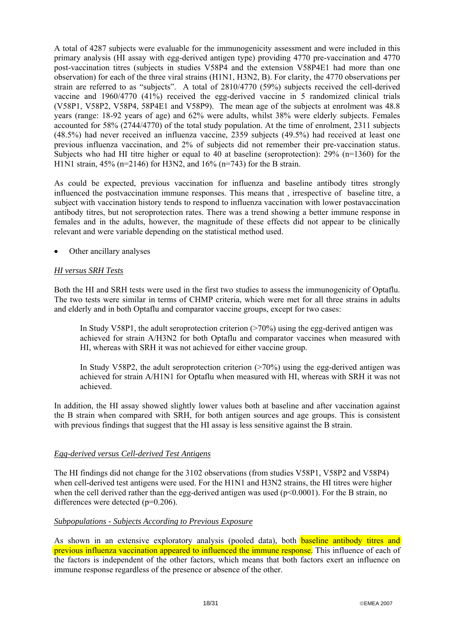A total of 4287 subjects were evaluable for the immunogenicity assessment and were included in this primary analysis (HI assay with egg-derived antigen type) providing 4770 pre-vaccination and 4770 post-vaccination titres (subjects in studies V58P4 and the extension V58P4E1 had more than one observation) for each of the three viral strains (H1N1, H3N2, B). For clarity, the 4770 observations per strain are referred to as "subjects". A total of 2810/4770 (59%) subjects received the cell-derived vaccine and 1960/4770 (41%) received the egg-derived vaccine in 5 randomized clinical trials (V58P1, V58P2, V58P4, 58P4E1 and V58P9). The mean age of the subjects at enrolment was 48.8 years (range: 18-92 years of age) and 62% were adults, whilst 38% were elderly subjects. Females accounted for 58% (2744/4770) of the total study population. At the time of enrolment, 2311 subjects (48.5%) had never received an influenza vaccine, 2359 subjects (49.5%) had received at least one previous influenza vaccination, and 2% of subjects did not remember their pre-vaccination status. Subjects who had HI titre higher or equal to 40 at baseline (seroprotection): 29% (n=1360) for the H1N1 strain, 45% (n=2146) for H3N2, and 16% (n=743) for the B strain.

As could be expected, previous vaccination for influenza and baseline antibody titres strongly influenced the postvaccination immune responses. This means that , irrespective of baseline titre, a subject with vaccination history tends to respond to influenza vaccination with lower postavaccination antibody titres, but not seroprotection rates. There was a trend showing a better immune response in females and in the adults, however, the magnitude of these effects did not appear to be clinically relevant and were variable depending on the statistical method used.

Other ancillary analyses

## *HI versus SRH Tests*

Both the HI and SRH tests were used in the first two studies to assess the immunogenicity of Optaflu. The two tests were similar in terms of CHMP criteria, which were met for all three strains in adults and elderly and in both Optaflu and comparator vaccine groups, except for two cases:

In Study V58P1, the adult seroprotection criterion  $(270%)$  using the egg-derived antigen was achieved for strain A/H3N2 for both Optaflu and comparator vaccines when measured with HI, whereas with SRH it was not achieved for either vaccine group.

In Study V58P2, the adult seroprotection criterion  $($ >70%) using the egg-derived antigen was achieved for strain A/H1N1 for Optaflu when measured with HI, whereas with SRH it was not achieved.

In addition, the HI assay showed slightly lower values both at baseline and after vaccination against the B strain when compared with SRH, for both antigen sources and age groups. This is consistent with previous findings that suggest that the HI assay is less sensitive against the B strain.

## *Egg-derived versus Cell-derived Test Antigens*

The HI findings did not change for the 3102 observations (from studies V58P1, V58P2 and V58P4) when cell-derived test antigens were used. For the H1N1 and H3N2 strains, the HI titres were higher when the cell derived rather than the egg-derived antigen was used ( $p \le 0.0001$ ). For the B strain, no differences were detected (p=0.206).

## *Subpopulations - Subjects According to Previous Exposure*

As shown in an extensive exploratory analysis (pooled data), both **baseline antibody titres and** previous influenza vaccination appeared to influenced the immune response. This influence of each of the factors is independent of the other factors, which means that both factors exert an influence on immune response regardless of the presence or absence of the other.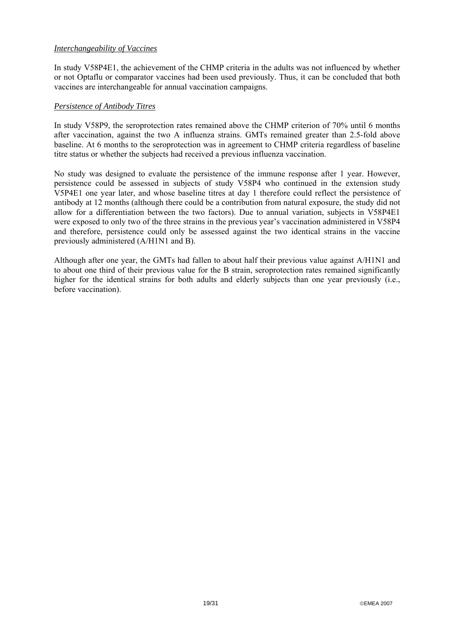## *Interchangeability of Vaccines*

In study V58P4E1, the achievement of the CHMP criteria in the adults was not influenced by whether or not Optaflu or comparator vaccines had been used previously. Thus, it can be concluded that both vaccines are interchangeable for annual vaccination campaigns.

## *Persistence of Antibody Titres*

In study V58P9, the seroprotection rates remained above the CHMP criterion of 70% until 6 months after vaccination, against the two A influenza strains. GMTs remained greater than 2.5-fold above baseline. At 6 months to the seroprotection was in agreement to CHMP criteria regardless of baseline titre status or whether the subjects had received a previous influenza vaccination.

No study was designed to evaluate the persistence of the immune response after 1 year. However, persistence could be assessed in subjects of study V58P4 who continued in the extension study V5P4E1 one year later, and whose baseline titres at day 1 therefore could reflect the persistence of antibody at 12 months (although there could be a contribution from natural exposure, the study did not allow for a differentiation between the two factors). Due to annual variation, subjects in V58P4E1 were exposed to only two of the three strains in the previous year's vaccination administered in V58P4 and therefore, persistence could only be assessed against the two identical strains in the vaccine previously administered (A/H1N1 and B).

Although after one year, the GMTs had fallen to about half their previous value against A/H1N1 and to about one third of their previous value for the B strain, seroprotection rates remained significantly higher for the identical strains for both adults and elderly subjects than one year previously (i.e., before vaccination).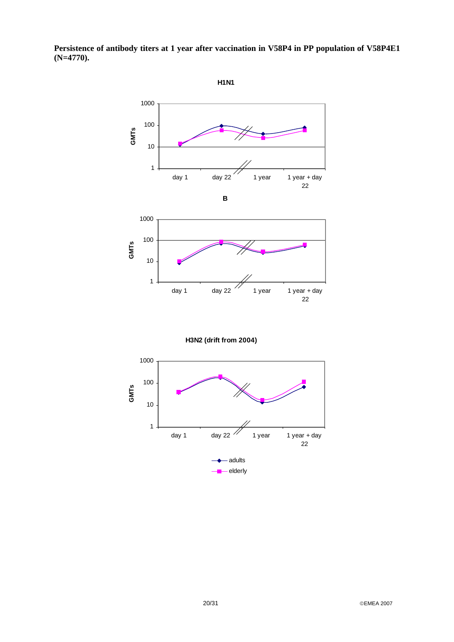

**Persistence of antibody titers at 1 year after vaccination in V58P4 in PP population of V58P4E1 (N=4770).** 

**H3N2 (drift from 2004)**

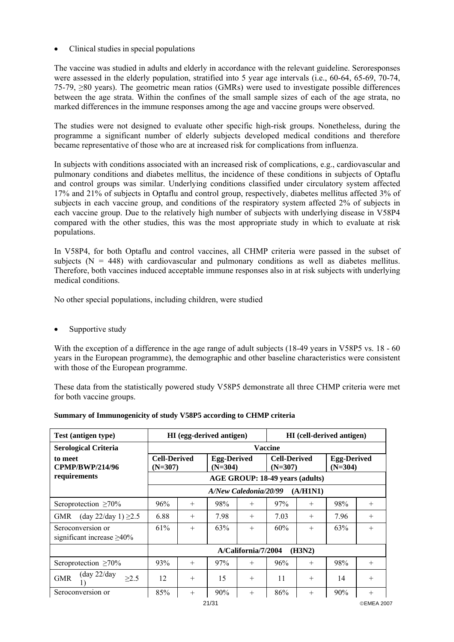• Clinical studies in special populations

The vaccine was studied in adults and elderly in accordance with the relevant guideline. Seroresponses were assessed in the elderly population, stratified into 5 year age intervals (i.e., 60-64, 65-69, 70-74, 75-79, ≥80 years). The geometric mean ratios (GMRs) were used to investigate possible differences between the age strata. Within the confines of the small sample sizes of each of the age strata, no marked differences in the immune responses among the age and vaccine groups were observed.

The studies were not designed to evaluate other specific high-risk groups. Nonetheless, during the programme a significant number of elderly subjects developed medical conditions and therefore became representative of those who are at increased risk for complications from influenza.

In subjects with conditions associated with an increased risk of complications, e.g., cardiovascular and pulmonary conditions and diabetes mellitus, the incidence of these conditions in subjects of Optaflu and control groups was similar. Underlying conditions classified under circulatory system affected 17% and 21% of subjects in Optaflu and control group, respectively, diabetes mellitus affected 3% of subjects in each vaccine group, and conditions of the respiratory system affected 2% of subjects in each vaccine group. Due to the relatively high number of subjects with underlying disease in V58P4 compared with the other studies, this was the most appropriate study in which to evaluate at risk populations.

In V58P4, for both Optaflu and control vaccines, all CHMP criteria were passed in the subset of subjects  $(N = 448)$  with cardiovascular and pulmonary conditions as well as diabetes mellitus. Therefore, both vaccines induced acceptable immune responses also in at risk subjects with underlying medical conditions.

No other special populations, including children, were studied

Supportive study

With the exception of a difference in the age range of adult subjects (18-49 years in V58P5 vs. 18 - 60 years in the European programme), the demographic and other baseline characteristics were consistent with those of the European programme.

These data from the statistically powered study V58P5 demonstrate all three CHMP criteria were met for both vaccine groups.

| Test (antigen type)                                 |                                  | <b>HI</b> (egg-derived antigen) |                                 |                     |                                  |          | HI (cell-derived antigen)       |            |
|-----------------------------------------------------|----------------------------------|---------------------------------|---------------------------------|---------------------|----------------------------------|----------|---------------------------------|------------|
| <b>Serological Criteria</b>                         |                                  |                                 |                                 |                     | <b>Vaccine</b>                   |          |                                 |            |
| to meet<br><b>CPMP/BWP/214/96</b>                   | <b>Cell-Derived</b><br>$(N=307)$ |                                 | <b>Egg-Derived</b><br>$(N=304)$ |                     | <b>Cell-Derived</b><br>$(N=307)$ |          | <b>Egg-Derived</b><br>$(N=304)$ |            |
| requirements                                        |                                  |                                 |                                 |                     | AGE GROUP: 18-49 years (adults)  |          |                                 |            |
|                                                     |                                  |                                 | A/New Caledonia/20/99           |                     |                                  | (A/H1N1) |                                 |            |
| Seroprotection $\geq 70\%$                          | 96%                              | $^{+}$                          | 98%                             | $^{+}$              | 97%                              | $^{+}$   | 98%                             | $^{+}$     |
| (day 22/day 1) $\geq$ 2.5<br><b>GMR</b>             | 6.88                             | $^{+}$                          | 7.98                            | $^{+}$              | 7.03                             | $^{+}$   | 7.96                            | $^{+}$     |
| Seroconversion or                                   | 61%                              | $^{+}$                          | 63%                             | $^{+}$              | 60%                              | $+$      | 63%                             | $^{+}$     |
| significant increase $\geq 40\%$                    |                                  |                                 |                                 |                     |                                  |          |                                 |            |
|                                                     |                                  |                                 |                                 | A/California/7/2004 |                                  | (H3N2)   |                                 |            |
| Seroprotection $\geq 70\%$                          | 93%                              | $^{+}$                          | 97%                             | $^{+}$              | 96%                              | $^{+}$   | 98%                             | $^{+}$     |
| $(\text{day } 22/\text{day})$<br><b>GMR</b><br>>2.5 | 12                               | $+$                             | 15                              | $^{+}$              | 11                               | $+$      | 14                              | $^{+}$     |
| Seroconversion or                                   | 85%                              | $+$                             | 90%                             | $^{+}$              | 86%                              | $^{+}$   | 90%                             | $^{+}$     |
|                                                     |                                  |                                 | 21/31                           |                     |                                  |          |                                 | ©EMEA 2007 |

#### **Summary of Immunogenicity of study V58P5 according to CHMP criteria**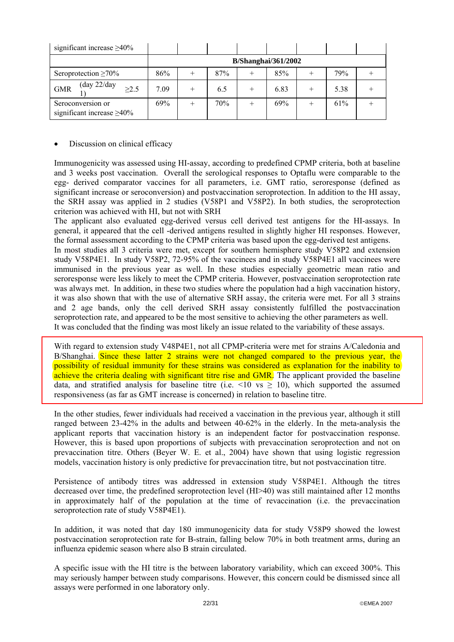| significant increase $\geq 40\%$                          |      |        |     |                            |   |      |  |
|-----------------------------------------------------------|------|--------|-----|----------------------------|---|------|--|
|                                                           |      |        |     | <b>B/Shanghai/361/2002</b> |   |      |  |
| Seroprotection $\geq 70\%$                                | 86%  |        | 87% | 85%                        |   | 79%  |  |
| $(\text{day } 22/\text{day})$<br>$\geq$ 2.5<br><b>GMR</b> | 7.09 | $^{+}$ | 6.5 | 6.83                       | + | 5.38 |  |
| Seroconversion or<br>significant increase $\geq 40\%$     | 69%  |        | 70% | 69%                        |   | 61%  |  |

## Discussion on clinical efficacy

Immunogenicity was assessed using HI-assay, according to predefined CPMP criteria, both at baseline and 3 weeks post vaccination. Overall the serological responses to Optaflu were comparable to the egg- derived comparator vaccines for all parameters, i.e. GMT ratio, seroresponse (defined as significant increase or seroconversion) and postvaccination seroprotection. In addition to the HI assay, the SRH assay was applied in 2 studies (V58P1 and V58P2). In both studies, the seroprotection criterion was achieved with HI, but not with SRH

The applicant also evaluated egg-derived versus cell derived test antigens for the HI-assays. In general, it appeared that the cell -derived antigens resulted in slightly higher HI responses. However, the formal assessment according to the CPMP criteria was based upon the egg-derived test antigens.

In most studies all 3 criteria were met, except for southern hemisphere study V58P2 and extension study V58P4E1. In study V58P2, 72-95% of the vaccinees and in study V58P4E1 all vaccinees were immunised in the previous year as well. In these studies especially geometric mean ratio and seroresponse were less likely to meet the CPMP criteria. However, postvaccination seroprotection rate was always met. In addition, in these two studies where the population had a high vaccination history, it was also shown that with the use of alternative SRH assay, the criteria were met. For all 3 strains and 2 age bands, only the cell derived SRH assay consistently fulfilled the postvaccination seroprotection rate, and appeared to be the most sensitive to achieving the other parameters as well. It was concluded that the finding was most likely an issue related to the variability of these assays.

With regard to extension study V48P4E1, not all CPMP-criteria were met for strains A/Caledonia and B/Shanghai. Since these latter 2 strains were not changed compared to the previous year, the possibility of residual immunity for these strains was considered as explanation for the inability to achieve the criteria dealing with significant titre rise and GMR. The applicant provided the baseline data, and stratified analysis for baseline titre (i.e.  $\leq 10$  vs  $\geq 10$ ), which supported the assumed responsiveness (as far as GMT increase is concerned) in relation to baseline titre.

In the other studies, fewer individuals had received a vaccination in the previous year, although it still ranged between 23-42% in the adults and between 40-62% in the elderly. In the meta-analysis the applicant reports that vaccination history is an independent factor for postvaccination response. However, this is based upon proportions of subjects with prevaccination seroprotection and not on prevaccination titre. Others (Beyer W. E. et al., 2004) have shown that using logistic regression models, vaccination history is only predictive for prevaccination titre, but not postvaccination titre.

Persistence of antibody titres was addressed in extension study V58P4E1. Although the titres decreased over time, the predefined seroprotection level (HI>40) was still maintained after 12 months in approximately half of the population at the time of revaccination (i.e. the prevaccination seroprotection rate of study V58P4E1).

In addition, it was noted that day 180 immunogenicity data for study V58P9 showed the lowest postvaccination seroprotection rate for B-strain, falling below 70% in both treatment arms, during an influenza epidemic season where also B strain circulated.

A specific issue with the HI titre is the between laboratory variability, which can exceed 300%. This may seriously hamper between study comparisons. However, this concern could be dismissed since all assays were performed in one laboratory only.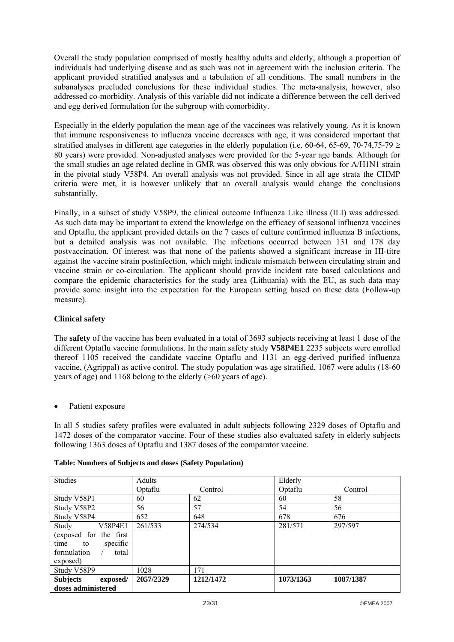Overall the study population comprised of mostly healthy adults and elderly, although a proportion of individuals had underlying disease and as such was not in agreement with the inclusion criteria. The applicant provided stratified analyses and a tabulation of all conditions. The small numbers in the subanalyses precluded conclusions for these individual studies. The meta-analysis, however, also addressed co-morbidity. Analysis of this variable did not indicate a difference between the cell derived and egg derived formulation for the subgroup with comorbidity.

Especially in the elderly population the mean age of the vaccinees was relatively young. As it is known that immune responsiveness to influenza vaccine decreases with age, it was considered important that stratified analyses in different age categories in the elderly population (i.e. 60-64, 65-69, 70-74,75-79  $\geq$ 80 years) were provided. Non-adjusted analyses were provided for the 5-year age bands. Although for the small studies an age related decline in GMR was observed this was only obvious for A/H1N1 strain in the pivotal study V58P4. An overall analysis was not provided. Since in all age strata the CHMP criteria were met, it is however unlikely that an overall analysis would change the conclusions substantially.

Finally, in a subset of study V58P9, the clinical outcome Influenza Like illness (ILI) was addressed. As such data may be important to extend the knowledge on the efficacy of seasonal influenza vaccines and Optaflu, the applicant provided details on the 7 cases of culture confirmed influenza B infections, but a detailed analysis was not available. The infections occurred between 131 and 178 day postvaccination. Of interest was that none of the patients showed a significant increase in HI-titre against the vaccine strain postinfection, which might indicate mismatch between circulating strain and vaccine strain or co-circulation. The applicant should provide incident rate based calculations and compare the epidemic characteristics for the study area (Lithuania) with the EU, as such data may provide some insight into the expectation for the European setting based on these data (Follow-up measure).

## **Clinical safety**

The **safety** of the vaccine has been evaluated in a total of 3693 subjects receiving at least 1 dose of the different Optaflu vaccine formulations. In the main safety study **V58P4E1** 2235 subjects were enrolled thereof 1105 received the candidate vaccine Optaflu and 1131 an egg-derived purified influenza vaccine, (Agrippal) as active control. The study population was age stratified, 1067 were adults (18-60 years of age) and 1168 belong to the elderly (>60 years of age).

Patient exposure

In all 5 studies safety profiles were evaluated in adult subjects following 2329 doses of Optaflu and 1472 doses of the comparator vaccine. Four of these studies also evaluated safety in elderly subjects following 1363 doses of Optaflu and 1387 doses of the comparator vaccine.

| <b>Studies</b>              | Adults    |           | Elderly   |           |
|-----------------------------|-----------|-----------|-----------|-----------|
|                             | Optaflu   | Control   | Optaflu   | Control   |
| Study V58P1                 | 60        | 62        | 60        | 58        |
| Study V58P2                 | 56        | 57        | 54        | 56        |
| Study V58P4                 | 652       | 648       | 678       | 676       |
| V58P4E1<br>Study            | 261/533   | 274/534   | 281/571   | 297/597   |
| (exposed for the first      |           |           |           |           |
| specific<br>time to         |           |           |           |           |
| formulation<br>total        |           |           |           |           |
| exposed)                    |           |           |           |           |
| Study V58P9                 | 1028      | 171       |           |           |
| <b>Subjects</b><br>exposed/ | 2057/2329 | 1212/1472 | 1073/1363 | 1087/1387 |
| doses administered          |           |           |           |           |

## **Table: Numbers of Subjects and doses (Safety Population)**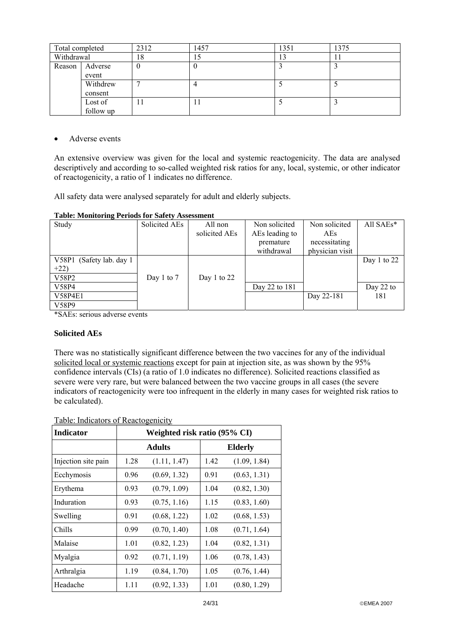| Total completed |           | 2312 | 1457 | 1351 | 1375 |
|-----------------|-----------|------|------|------|------|
| Withdrawal      |           | 18   |      | L3   |      |
| Reason          | Adverse   | -0   |      |      |      |
|                 | event     |      |      |      |      |
|                 | Withdrew  |      |      |      |      |
|                 | consent   |      |      |      |      |
|                 | Lost of   | . .  |      |      |      |
|                 | follow up |      |      |      |      |

• Adverse events

An extensive overview was given for the local and systemic reactogenicity. The data are analysed descriptively and according to so-called weighted risk ratios for any, local, systemic, or other indicator of reactogenicity, a ratio of 1 indicates no difference.

All safety data were analysed separately for adult and elderly subjects.

## **Table: Monitoring Periods for Safety Assessment**

| Study                     | Solicited AEs | All non       | Non solicited  | Non solicited   | All SAEs*   |
|---------------------------|---------------|---------------|----------------|-----------------|-------------|
|                           |               | solicited AEs | AEs leading to | AEs             |             |
|                           |               |               | premature      | necessitating   |             |
|                           |               |               | withdrawal     | physician visit |             |
| V58P1 (Safety lab. day 1) |               |               |                |                 | Day 1 to 22 |
| $+22)$                    |               |               |                |                 |             |
| V58P2                     | Day 1 to $7$  | Day 1 to $22$ |                |                 |             |
| V58P4                     |               |               | Day 22 to 181  |                 | Day $22$ to |
| <b>V58P4E1</b>            |               |               |                | Day 22-181      | 181         |
| V58P9                     |               |               |                |                 |             |

\*SAEs: serious adverse events

## **Solicited AEs**

There was no statistically significant difference between the two vaccines for any of the individual solicited local or systemic reactions except for pain at injection site, as was shown by the 95% confidence intervals (CIs) (a ratio of 1.0 indicates no difference). Solicited reactions classified as severe were very rare, but were balanced between the two vaccine groups in all cases (the severe indicators of reactogenicity were too infrequent in the elderly in many cases for weighted risk ratios to be calculated).

## Table: Indicators of Reactogenicity

| <b>Indicator</b>    | Weighted risk ratio (95% CI) |               |      |                |  |  |
|---------------------|------------------------------|---------------|------|----------------|--|--|
|                     |                              | <b>Adults</b> |      | <b>Elderly</b> |  |  |
| Injection site pain | 1.28                         | (1.11, 1.47)  | 1.42 | (1.09, 1.84)   |  |  |
| Ecchymosis          | 0.96                         | (0.69, 1.32)  | 0.91 | (0.63, 1.31)   |  |  |
| Erythema            | 0.93                         | (0.79, 1.09)  | 1.04 | (0.82, 1.30)   |  |  |
| Induration          | 0.93                         | (0.75, 1.16)  | 1.15 | (0.83, 1.60)   |  |  |
| Swelling            | 0.91                         | (0.68, 1.22)  | 1.02 | (0.68, 1.53)   |  |  |
| Chills              | 0.99                         | (0.70, 1.40)  | 1.08 | (0.71, 1.64)   |  |  |
| Malaise             | 1.01                         | (0.82, 1.23)  | 1.04 | (0.82, 1.31)   |  |  |
| Myalgia             | 0.92                         | (0.71, 1.19)  | 1.06 | (0.78, 1.43)   |  |  |
| Arthralgia          | 1.19                         | (0.84, 1.70)  | 1.05 | (0.76, 1.44)   |  |  |
| Headache            | 1.11                         | (0.92, 1.33)  | 1.01 | (0.80, 1.29)   |  |  |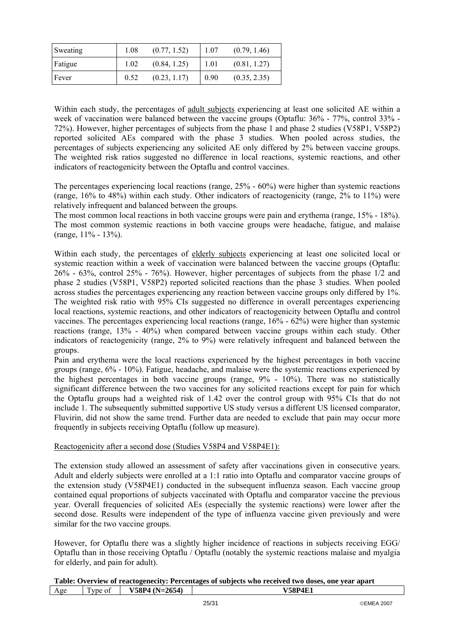| Sweating | 1.08 | (0.77, 1.52) | 1.07 | (0.79, 1.46) |
|----------|------|--------------|------|--------------|
| Fatigue  | 1.02 | (0.84, 1.25) | 1.01 | (0.81, 1.27) |
| Fever    | 0.52 | (0.23, 1.17) | 0.90 | (0.35, 2.35) |

Within each study, the percentages of adult subjects experiencing at least one solicited AE within a week of vaccination were balanced between the vaccine groups (Optaflu: 36% - 77%, control 33% - 72%). However, higher percentages of subjects from the phase 1 and phase 2 studies (V58P1, V58P2) reported solicited AEs compared with the phase 3 studies. When pooled across studies, the percentages of subjects experiencing any solicited AE only differed by 2% between vaccine groups. The weighted risk ratios suggested no difference in local reactions, systemic reactions, and other indicators of reactogenicity between the Optaflu and control vaccines.

The percentages experiencing local reactions (range, 25% - 60%) were higher than systemic reactions (range, 16% to 48%) within each study. Other indicators of reactogenicity (range, 2% to 11%) were relatively infrequent and balanced between the groups.

The most common local reactions in both vaccine groups were pain and erythema (range, 15% - 18%). The most common systemic reactions in both vaccine groups were headache, fatigue, and malaise (range,  $11\% - 13\%$ ).

Within each study, the percentages of elderly subjects experiencing at least one solicited local or systemic reaction within a week of vaccination were balanced between the vaccine groups (Optaflu: 26% - 63%, control 25% - 76%). However, higher percentages of subjects from the phase 1/2 and phase 2 studies (V58P1, V58P2) reported solicited reactions than the phase 3 studies. When pooled across studies the percentages experiencing any reaction between vaccine groups only differed by 1%. The weighted risk ratio with 95% CIs suggested no difference in overall percentages experiencing local reactions, systemic reactions, and other indicators of reactogenicity between Optaflu and control vaccines. The percentages experiencing local reactions (range, 16% - 62%) were higher than systemic reactions (range, 13% - 40%) when compared between vaccine groups within each study. Other indicators of reactogenicity (range, 2% to 9%) were relatively infrequent and balanced between the groups.

Pain and erythema were the local reactions experienced by the highest percentages in both vaccine groups (range, 6% - 10%). Fatigue, headache, and malaise were the systemic reactions experienced by the highest percentages in both vaccine groups (range, 9% - 10%). There was no statistically significant difference between the two vaccines for any solicited reactions except for pain for which the Optaflu groups had a weighted risk of 1.42 over the control group with 95% CIs that do not include 1. The subsequently submitted supportive US study versus a different US licensed comparator, Fluvirin, did not show the same trend. Further data are needed to exclude that pain may occur more frequently in subjects receiving Optaflu (follow up measure).

## Reactogenicity after a second dose (Studies V58P4 and V58P4E1):

The extension study allowed an assessment of safety after vaccinations given in consecutive years. Adult and elderly subjects were enrolled at a 1:1 ratio into Optaflu and comparator vaccine groups of the extension study (V58P4E1) conducted in the subsequent influenza season. Each vaccine group contained equal proportions of subjects vaccinated with Optaflu and comparator vaccine the previous year. Overall frequencies of solicited AEs (especially the systemic reactions) were lower after the second dose. Results were independent of the type of influenza vaccine given previously and were similar for the two vaccine groups.

However, for Optaflu there was a slightly higher incidence of reactions in subjects receiving EGG/ Optaflu than in those receiving Optaflu / Optaflu (notably the systemic reactions malaise and myalgia for elderly, and pain for adult).

|     | Table: Overview of reactogenecity: Percentages of subjects who received two doses, one year apart |                 |                |  |  |  |  |  |
|-----|---------------------------------------------------------------------------------------------------|-----------------|----------------|--|--|--|--|--|
| Age | Type of                                                                                           | $V58P4(N=2654)$ | <b>V58P4E1</b> |  |  |  |  |  |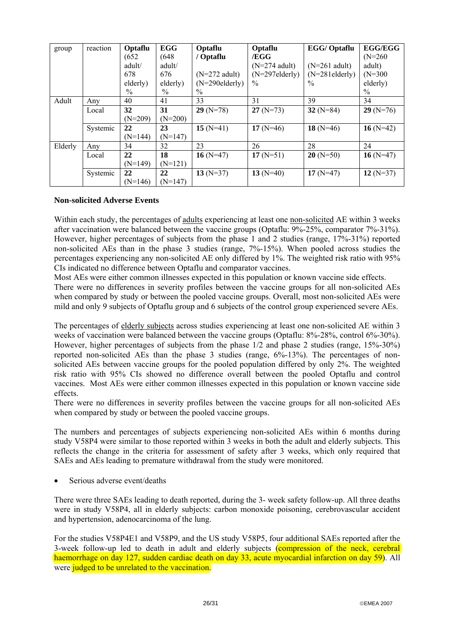| group   | reaction | Optaflu   | <b>EGG</b> | Optaflu           | Optaflu           | EGG/Optaflu       | <b>EGG/EGG</b> |
|---------|----------|-----------|------------|-------------------|-------------------|-------------------|----------------|
|         |          | (652)     | (648)      | / Optaflu         | /EGG              |                   | $(N=260)$      |
|         |          | adult/    | adult/     |                   | $(N=274$ adult)   | $(N=261$ adult)   | adult)         |
|         |          | 678       | 676        | $(N=272$ adult)   | $(N=297$ elderly) | $(N=281$ elderly) | $(N=300)$      |
|         |          | elderly)  | elderly)   | $(N=290$ elderly) | $\%$              | $\frac{0}{0}$     | elderly)       |
|         |          | $\%$      | $\%$       | $\frac{0}{0}$     |                   |                   | $\%$           |
| Adult   | Any      | 40        | 41         | 33                | 31                | 39                | 34             |
|         | Local    | 32        | 31         | $29(N=78)$        | $27(N=73)$        | 32 $(N=84)$       | $29(N=76)$     |
|         |          | $(N=209)$ | $(N=200)$  |                   |                   |                   |                |
|         | Systemic | 22        | 23         | $15(N=41)$        | 17 $(N=46)$       | 18 $(N=46)$       | 16 $(N=42)$    |
|         |          | $(N=144)$ | $(N=147)$  |                   |                   |                   |                |
| Elderly | Any      | 34        | 32         | 23                | 26                | 28                | 24             |
|         | Local    | 22        | 18         | 16 $(N=47)$       | 17 $(N=51)$       | $20(N=50)$        | 16 $(N=47)$    |
|         |          | $(N=149)$ | $(N=121)$  |                   |                   |                   |                |
|         | Systemic | 22        | 22         | 13 $(N=37)$       | 13 $(N=40)$       | 17 $(N=47)$       | 12 $(N=37)$    |
|         |          | $(N=146)$ | $(N=147)$  |                   |                   |                   |                |

## **Non-solicited Adverse Events**

Within each study, the percentages of adults experiencing at least one non-solicited AE within 3 weeks after vaccination were balanced between the vaccine groups (Optaflu: 9%-25%, comparator 7%-31%). However, higher percentages of subjects from the phase 1 and 2 studies (range, 17%-31%) reported non-solicited AEs than in the phase 3 studies (range, 7%-15%). When pooled across studies the percentages experiencing any non-solicited AE only differed by 1%. The weighted risk ratio with 95% CIs indicated no difference between Optaflu and comparator vaccines.

Most AEs were either common illnesses expected in this population or known vaccine side effects.

There were no differences in severity profiles between the vaccine groups for all non-solicited AEs when compared by study or between the pooled vaccine groups. Overall, most non-solicited AEs were mild and only 9 subjects of Optaflu group and 6 subjects of the control group experienced severe AEs.

The percentages of elderly subjects across studies experiencing at least one non-solicited AE within 3 weeks of vaccination were balanced between the vaccine groups (Optaflu: 8%-28%, control 6%-30%). However, higher percentages of subjects from the phase 1/2 and phase 2 studies (range, 15%-30%) reported non-solicited AEs than the phase 3 studies (range, 6%-13%). The percentages of nonsolicited AEs between vaccine groups for the pooled population differed by only 2%. The weighted risk ratio with 95% CIs showed no difference overall between the pooled Optaflu and control vaccines. Most AEs were either common illnesses expected in this population or known vaccine side effects.

There were no differences in severity profiles between the vaccine groups for all non-solicited AEs when compared by study or between the pooled vaccine groups.

The numbers and percentages of subjects experiencing non-solicited AEs within 6 months during study V58P4 were similar to those reported within 3 weeks in both the adult and elderly subjects. This reflects the change in the criteria for assessment of safety after 3 weeks, which only required that SAEs and AEs leading to premature withdrawal from the study were monitored.

Serious adverse event/deaths

There were three SAEs leading to death reported, during the 3- week safety follow-up. All three deaths were in study V58P4, all in elderly subjects: carbon monoxide poisoning, cerebrovascular accident and hypertension, adenocarcinoma of the lung.

For the studies V58P4E1 and V58P9, and the US study V58P5, four additional SAEs reported after the 3-week follow-up led to death in adult and elderly subjects (compression of the neck, cerebral haemorrhage on day 127, sudden cardiac death on day 33, acute myocardial infarction on day 59). All were judged to be unrelated to the vaccination.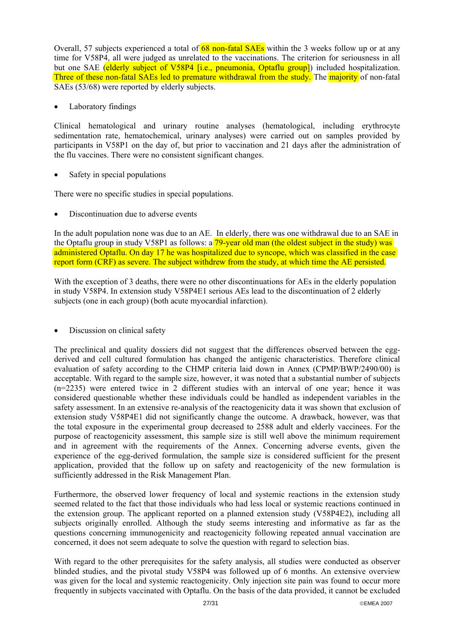Overall, 57 subjects experienced a total of  $68$  non-fatal SAEs within the 3 weeks follow up or at any time for V58P4, all were judged as unrelated to the vaccinations. The criterion for seriousness in all but one SAE (elderly subject of V58P4 [i.e., pneumonia, Optaflu group]) included hospitalization. Three of these non-fatal SAEs led to premature withdrawal from the study. The majority of non-fatal SAEs (53/68) were reported by elderly subjects.

• Laboratory findings

Clinical hematological and urinary routine analyses (hematological, including erythrocyte sedimentation rate, hematochemical, urinary analyses) were carried out on samples provided by participants in V58P1 on the day of, but prior to vaccination and 21 days after the administration of the flu vaccines. There were no consistent significant changes.

Safety in special populations

There were no specific studies in special populations.

Discontinuation due to adverse events

In the adult population none was due to an AE. In elderly, there was one withdrawal due to an SAE in the Optaflu group in study V58P1 as follows: a 79-year old man (the oldest subject in the study) was administered Optaflu. On day 17 he was hospitalized due to syncope, which was classified in the case report form (CRF) as severe. The subject withdrew from the study, at which time the AE persisted.

With the exception of 3 deaths, there were no other discontinuations for AEs in the elderly population in study V58P4. In extension study V58P4E1 serious AEs lead to the discontinuation of 2 elderly subjects (one in each group) (both acute myocardial infarction).

• Discussion on clinical safety

The preclinical and quality dossiers did not suggest that the differences observed between the eggderived and cell cultured formulation has changed the antigenic characteristics. Therefore clinical evaluation of safety according to the CHMP criteria laid down in Annex (CPMP/BWP/2490/00) is acceptable. With regard to the sample size, however, it was noted that a substantial number of subjects (n=2235) were entered twice in 2 different studies with an interval of one year; hence it was considered questionable whether these individuals could be handled as independent variables in the safety assessment. In an extensive re-analysis of the reactogenicity data it was shown that exclusion of extension study V58P4E1 did not significantly change the outcome. A drawback, however, was that the total exposure in the experimental group decreased to 2588 adult and elderly vaccinees. For the purpose of reactogenicity assessment, this sample size is still well above the minimum requirement and in agreement with the requirements of the Annex. Concerning adverse events, given the experience of the egg-derived formulation, the sample size is considered sufficient for the present application, provided that the follow up on safety and reactogenicity of the new formulation is sufficiently addressed in the Risk Management Plan.

Furthermore, the observed lower frequency of local and systemic reactions in the extension study seemed related to the fact that those individuals who had less local or systemic reactions continued in the extension group. The applicant reported on a planned extension study (V58P4E2), including all subjects originally enrolled. Although the study seems interesting and informative as far as the questions concerning immunogenicity and reactogenicity following repeated annual vaccination are concerned, it does not seem adequate to solve the question with regard to selection bias.

With regard to the other prerequisites for the safety analysis, all studies were conducted as observer blinded studies, and the pivotal study V58P4 was followed up of 6 months. An extensive overview was given for the local and systemic reactogenicity. Only injection site pain was found to occur more frequently in subjects vaccinated with Optaflu. On the basis of the data provided, it cannot be excluded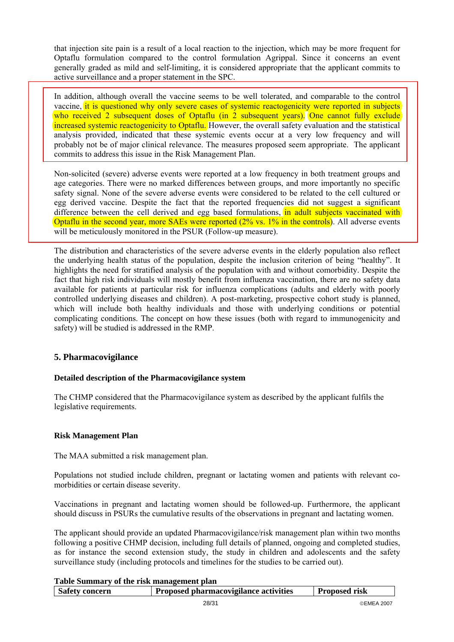that injection site pain is a result of a local reaction to the injection, which may be more frequent for Optaflu formulation compared to the control formulation Agrippal. Since it concerns an event generally graded as mild and self-limiting, it is considered appropriate that the applicant commits to active surveillance and a proper statement in the SPC.

In addition, although overall the vaccine seems to be well tolerated, and comparable to the control vaccine, it is questioned why only severe cases of systemic reactogenicity were reported in subjects who received  $\hat{2}$  subsequent doses of Optaflu (in  $\hat{2}$  subsequent years). One cannot fully exclude increased systemic reactogenicity to Optaflu. However, the overall safety evaluation and the statistical analysis provided, indicated that these systemic events occur at a very low frequency and will probably not be of major clinical relevance. The measures proposed seem appropriate. The applicant commits to address this issue in the Risk Management Plan.

Non-solicited (severe) adverse events were reported at a low frequency in both treatment groups and age categories. There were no marked differences between groups, and more importantly no specific safety signal. None of the severe adverse events were considered to be related to the cell cultured or egg derived vaccine. Despite the fact that the reported frequencies did not suggest a significant difference between the cell derived and egg based formulations, in adult subjects vaccinated with Optaflu in the second year, more SAEs were reported (2% vs. 1% in the controls). All adverse events will be meticulously monitored in the PSUR (Follow-up measure).

The distribution and characteristics of the severe adverse events in the elderly population also reflect the underlying health status of the population, despite the inclusion criterion of being "healthy". It highlights the need for stratified analysis of the population with and without comorbidity. Despite the fact that high risk individuals will mostly benefit from influenza vaccination, there are no safety data available for patients at particular risk for influenza complications (adults and elderly with poorly controlled underlying diseases and children). A post-marketing, prospective cohort study is planned, which will include both healthy individuals and those with underlying conditions or potential complicating conditions. The concept on how these issues (both with regard to immunogenicity and safety) will be studied is addressed in the RMP.

## **5. Pharmacovigilance**

## **Detailed description of the Pharmacovigilance system**

The CHMP considered that the Pharmacovigilance system as described by the applicant fulfils the legislative requirements.

## **Risk Management Plan**

The MAA submitted a risk management plan.

Populations not studied include children, pregnant or lactating women and patients with relevant comorbidities or certain disease severity.

Vaccinations in pregnant and lactating women should be followed-up. Furthermore, the applicant should discuss in PSURs the cumulative results of the observations in pregnant and lactating women.

The applicant should provide an updated Pharmacovigilance/risk management plan within two months following a positive CHMP decision, including full details of planned, ongoing and completed studies, as for instance the second extension study, the study in children and adolescents and the safety surveillance study (including protocols and timelines for the studies to be carried out).

|  |  | Table Summary of the risk management plan |  |
|--|--|-------------------------------------------|--|
|  |  |                                           |  |

| Safety concern | <b>Proposed pharmacovigilance activities</b> | <b>Proposed risk</b> |
|----------------|----------------------------------------------|----------------------|
|                | 28/31                                        | ©EMEA 2007           |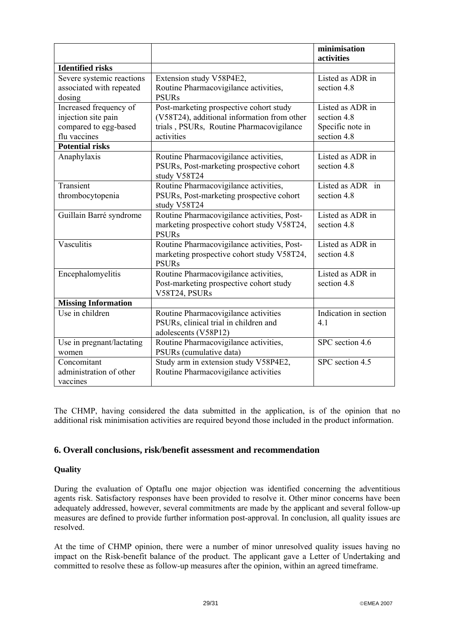|                                                                                        |                                                                                                                                                  | minimisation<br>activities                                         |
|----------------------------------------------------------------------------------------|--------------------------------------------------------------------------------------------------------------------------------------------------|--------------------------------------------------------------------|
| <b>Identified risks</b>                                                                |                                                                                                                                                  |                                                                    |
| Severe systemic reactions<br>associated with repeated<br>dosing                        | Extension study V58P4E2,<br>Routine Pharmacovigilance activities,<br><b>PSURs</b>                                                                | Listed as ADR in<br>section 4.8                                    |
| Increased frequency of<br>injection site pain<br>compared to egg-based<br>flu vaccines | Post-marketing prospective cohort study<br>(V58T24), additional information from other<br>trials, PSURs, Routine Pharmacovigilance<br>activities | Listed as ADR in<br>section 4.8<br>Specific note in<br>section 4.8 |
| <b>Potential risks</b>                                                                 |                                                                                                                                                  |                                                                    |
| Anaphylaxis                                                                            | Routine Pharmacovigilance activities,<br>PSURs, Post-marketing prospective cohort<br>study V58T24                                                | Listed as ADR in<br>section 4.8                                    |
| Transient<br>thrombocytopenia                                                          | Routine Pharmacovigilance activities,<br>PSURs, Post-marketing prospective cohort<br>study V58T24                                                | Listed as ADR in<br>section 4.8                                    |
| Guillain Barré syndrome                                                                | Routine Pharmacovigilance activities, Post-<br>marketing prospective cohort study V58T24,<br><b>PSURs</b>                                        | Listed as ADR in<br>section 4.8                                    |
| Vasculitis                                                                             | Routine Pharmacovigilance activities, Post-<br>marketing prospective cohort study V58T24,<br><b>PSURs</b>                                        | Listed as ADR in<br>section 4.8                                    |
| Encephalomyelitis                                                                      | Routine Pharmacovigilance activities,<br>Post-marketing prospective cohort study<br>V58T24, PSURs                                                | Listed as ADR in<br>section 4.8                                    |
| <b>Missing Information</b>                                                             |                                                                                                                                                  |                                                                    |
| Use in children                                                                        | Routine Pharmacovigilance activities<br>PSURs, clinical trial in children and<br>adolescents (V58P12)                                            | Indication in section<br>4.1                                       |
| Use in pregnant/lactating<br>women                                                     | Routine Pharmacovigilance activities,<br>PSURs (cumulative data)                                                                                 | SPC section 4.6                                                    |
| Concomitant<br>administration of other<br>vaccines                                     | Study arm in extension study V58P4E2,<br>Routine Pharmacovigilance activities                                                                    | SPC section 4.5                                                    |

The CHMP, having considered the data submitted in the application, is of the opinion that no additional risk minimisation activities are required beyond those included in the product information.

## **6. Overall conclusions, risk/benefit assessment and recommendation**

## **Quality**

During the evaluation of Optaflu one major objection was identified concerning the adventitious agents risk. Satisfactory responses have been provided to resolve it. Other minor concerns have been adequately addressed, however, several commitments are made by the applicant and several follow-up measures are defined to provide further information post-approval. In conclusion, all quality issues are resolved.

At the time of CHMP opinion, there were a number of minor unresolved quality issues having no impact on the Risk-benefit balance of the product. The applicant gave a Letter of Undertaking and committed to resolve these as follow-up measures after the opinion, within an agreed timeframe.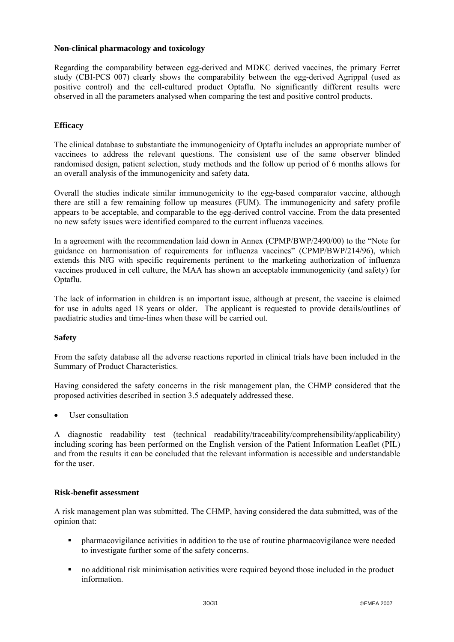## **Non-clinical pharmacology and toxicology**

Regarding the comparability between egg-derived and MDKC derived vaccines, the primary Ferret study (CBI-PCS 007) clearly shows the comparability between the egg-derived Agrippal (used as positive control) and the cell-cultured product Optaflu. No significantly different results were observed in all the parameters analysed when comparing the test and positive control products.

### **Efficacy**

The clinical database to substantiate the immunogenicity of Optaflu includes an appropriate number of vaccinees to address the relevant questions. The consistent use of the same observer blinded randomised design, patient selection, study methods and the follow up period of 6 months allows for an overall analysis of the immunogenicity and safety data.

Overall the studies indicate similar immunogenicity to the egg-based comparator vaccine, although there are still a few remaining follow up measures (FUM). The immunogenicity and safety profile appears to be acceptable, and comparable to the egg-derived control vaccine. From the data presented no new safety issues were identified compared to the current influenza vaccines.

In a agreement with the recommendation laid down in Annex (CPMP/BWP/2490/00) to the "Note for guidance on harmonisation of requirements for influenza vaccines" (CPMP/BWP/214/96), which extends this NfG with specific requirements pertinent to the marketing authorization of influenza vaccines produced in cell culture, the MAA has shown an acceptable immunogenicity (and safety) for Optaflu.

The lack of information in children is an important issue, although at present, the vaccine is claimed for use in adults aged 18 years or older. The applicant is requested to provide details/outlines of paediatric studies and time-lines when these will be carried out.

## **Safety**

From the safety database all the adverse reactions reported in clinical trials have been included in the Summary of Product Characteristics.

Having considered the safety concerns in the risk management plan, the CHMP considered that the proposed activities described in section 3.5 adequately addressed these.

User consultation

A diagnostic readability test (technical readability/traceability/comprehensibility/applicability) including scoring has been performed on the English version of the Patient Information Leaflet (PIL) and from the results it can be concluded that the relevant information is accessible and understandable for the user.

#### **Risk-benefit assessment**

A risk management plan was submitted. The CHMP, having considered the data submitted, was of the opinion that:

- pharmacovigilance activities in addition to the use of routine pharmacovigilance were needed to investigate further some of the safety concerns.
- no additional risk minimisation activities were required beyond those included in the product information.